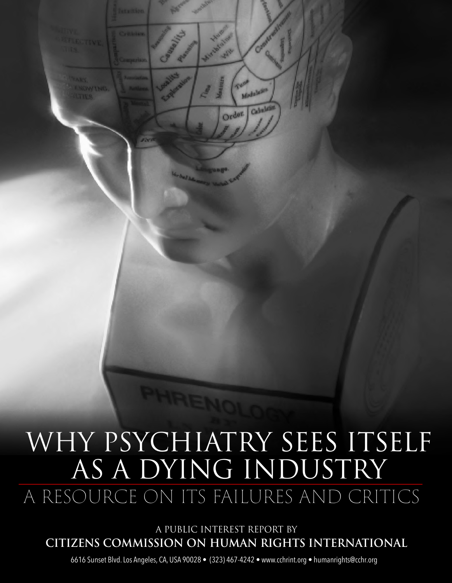

Medalases

Order.

Calvalor

A PUBLIC INTEREST REPORT BY **CITIZENS COMMISSION ON HUMAN RIGHTS INTERNATIONAL**

6616 Sunset Blvd. Los Angeles, CA, USA 90028 • (323) 467-4242 • www.cchrint.org • humanrights@cchr.org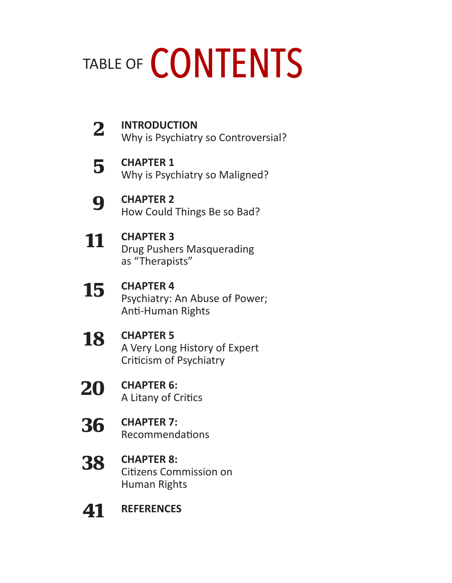# TABLE OF CONTENTS

| 2  | <b>INTRODUCTION</b><br>Why is Psychiatry so Controversial?                     |
|----|--------------------------------------------------------------------------------|
| 5  | <b>CHAPTER 1</b><br>Why is Psychiatry so Maligned?                             |
| 9  | <b>CHAPTER 2</b><br>How Could Things Be so Bad?                                |
| 11 | <b>CHAPTER 3</b><br><b>Drug Pushers Masquerading</b><br>as "Therapists"        |
| 15 | <b>CHAPTER 4</b><br>Psychiatry: An Abuse of Power;<br><b>Anti-Human Rights</b> |
| 18 | <b>CHAPTER 5</b><br>A Very Long History of Expert<br>Criticism of Psychiatry   |
| 20 | <b>CHAPTER 6:</b><br>A Litany of Critics                                       |
|    | <b>CHAPTER 7:</b><br><b>Recommendations</b>                                    |
| 38 | <b>CHAPTER 8:</b><br><b>Citizens Commission on</b><br>Human Rights             |
|    | <b>REFERENCES</b>                                                              |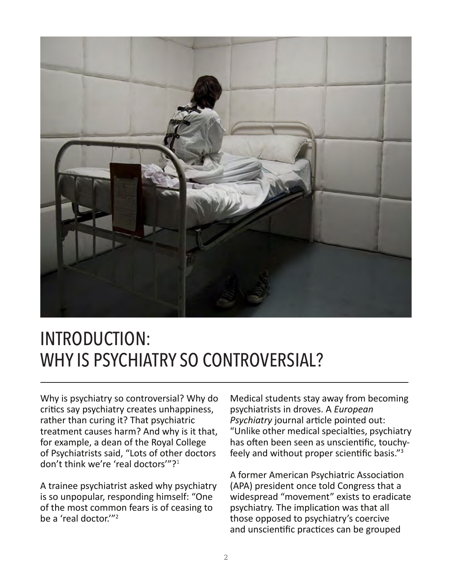

### INTRODUCTION: WHY IS PSYCHIATRY SO CONTROVERSIAL?

Why is psychiatry so controversial? Why do critics say psychiatry creates unhappiness, rather than curing it? That psychiatric treatment causes harm? And why is it that, for example, a dean of the Royal College of Psychiatrists said, "Lots of other doctors don't think we're 'real doctors'"?<sup>1</sup>

A trainee psychiatrist asked why psychiatry is so unpopular, responding himself: "One of the most common fears is of ceasing to be a 'real doctor.'"2

Medical students stay away from becoming psychiatrists in droves. A *European Psychiatry* journal article pointed out: "Unlike other medical specialties, psychiatry has often been seen as unscientific, touchyfeely and without proper scientific basis."<sup>3</sup>

A former American Psychiatric Association (APA) president once told Congress that a widespread "movement" exists to eradicate psychiatry. The implication was that all those opposed to psychiatry's coercive and unscientific practices can be grouped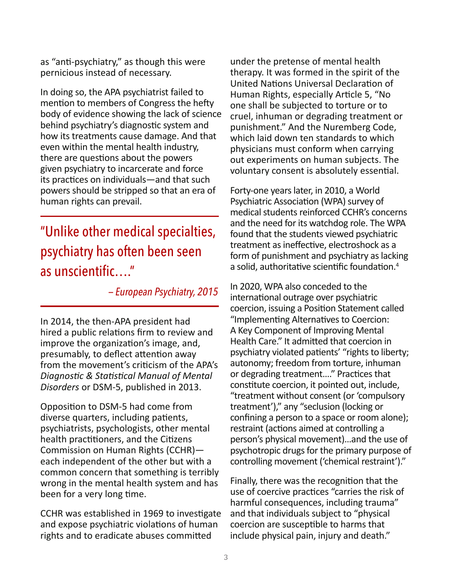as "anti-psychiatry," as though this were pernicious instead of necessary.

In doing so, the APA psychiatrist failed to mention to members of Congress the hefty body of evidence showing the lack of science behind psychiatry's diagnostic system and how its treatments cause damage. And that even within the mental health industry, there are questions about the powers given psychiatry to incarcerate and force its practices on individuals—and that such powers should be stripped so that an era of human rights can prevail.

### "Unlike other medical specialties, psychiatry has often been seen as unscientific…."

 *— European Psychiatry, 2015*

In 2014, the then-APA president had hired a public relations firm to review and improve the organization's image, and, presumably, to deflect attention away from the movement's criticism of the APA's *Diagnostic & Statistical Manual of Mental Disorders* or DSM-5, published in 2013.

Opposition to DSM-5 had come from diverse quarters, including patients, psychiatrists, psychologists, other mental health practitioners, and the Citizens Commission on Human Rights (CCHR) each independent of the other but with a common concern that something is terribly wrong in the mental health system and has been for a very long time.

CCHR was established in 1969 to investigate and expose psychiatric violations of human rights and to eradicate abuses committed

under the pretense of mental health therapy. It was formed in the spirit of the United Nations Universal Declaration of Human Rights, especially Article 5, "No one shall be subjected to torture or to cruel, inhuman or degrading treatment or punishment." And the Nuremberg Code, which laid down ten standards to which physicians must conform when carrying out experiments on human subjects. The voluntary consent is absolutely essential.

Forty-one years later, in 2010, a World Psychiatric Association (WPA) survey of medical students reinforced CCHR's concerns and the need for its watchdog role. The WPA found that the students viewed psychiatric treatment as ineffective, electroshock as a form of punishment and psychiatry as lacking a solid, authoritative scientific foundation.<sup>4</sup>

In 2020, WPA also conceded to the international outrage over psychiatric coercion, issuing a Position Statement called "Implementing Alternatives to Coercion: A Key Component of Improving Mental Health Care." It admitted that coercion in psychiatry violated patients' "rights to liberty; autonomy; freedom from torture, inhuman or degrading treatment…." Practices that constitute coercion, it pointed out, include, "treatment without consent (or 'compulsory treatment')," any "seclusion (locking or confining a person to a space or room alone); restraint (actions aimed at controlling a person's physical movement)…and the use of psychotropic drugs for the primary purpose of controlling movement ('chemical restraint')."

Finally, there was the recognition that the use of coercive practices "carries the risk of harmful consequences, including trauma" and that individuals subject to "physical coercion are susceptible to harms that include physical pain, injury and death."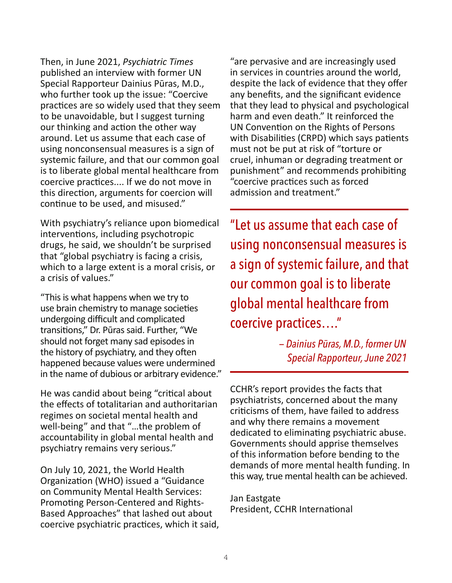Then, in June 2021, *Psychiatric Times* published an interview with former UN Special Rapporteur Dainius Pūras, M.D., who further took up the issue: "Coercive practices are so widely used that they seem to be unavoidable, but I suggest turning our thinking and action the other way around. Let us assume that each case of using nonconsensual measures is a sign of systemic failure, and that our common goal is to liberate global mental healthcare from coercive practices.... If we do not move in this direction, arguments for coercion will continue to be used, and misused."

With psychiatry's reliance upon biomedical interventions, including psychotropic drugs, he said, we shouldn't be surprised that "global psychiatry is facing a crisis, which to a large extent is a moral crisis, or a crisis of values."

"This is what happens when we try to use brain chemistry to manage societies undergoing difficult and complicated transitions," Dr. Pūras said. Further, "We should not forget many sad episodes in the history of psychiatry, and they often happened because values were undermined in the name of dubious or arbitrary evidence."

He was candid about being "critical about the effects of totalitarian and authoritarian regimes on societal mental health and well-being" and that "…the problem of accountability in global mental health and psychiatry remains very serious."

On July 10, 2021, the World Health Organization (WHO) issued a "Guidance on Community Mental Health Services: Promoting Person-Centered and Rights-Based Approaches" that lashed out about coercive psychiatric practices, which it said,

"are pervasive and are increasingly used in services in countries around the world, despite the lack of evidence that they offer any benefits, and the significant evidence that they lead to physical and psychological harm and even death." It reinforced the UN Convention on the Rights of Persons with Disabilities (CRPD) which says patients must not be put at risk of "torture or cruel, inhuman or degrading treatment or punishment" and recommends prohibiting "coercive practices such as forced admission and treatment."

"Let us assume that each case of using nonconsensual measures is a sign of systemic failure, and that our common goal is to liberate global mental healthcare from coercive practices…."

> *— Dainius Pūras, M.D., former UN Special Rapporteur, June 2021*

CCHR's report provides the facts that psychiatrists, concerned about the many criticisms of them, have failed to address and why there remains a movement dedicated to eliminating psychiatric abuse. Governments should apprise themselves of this information before bending to the demands of more mental health funding. In this way, true mental health can be achieved.

Jan Eastgate President, CCHR International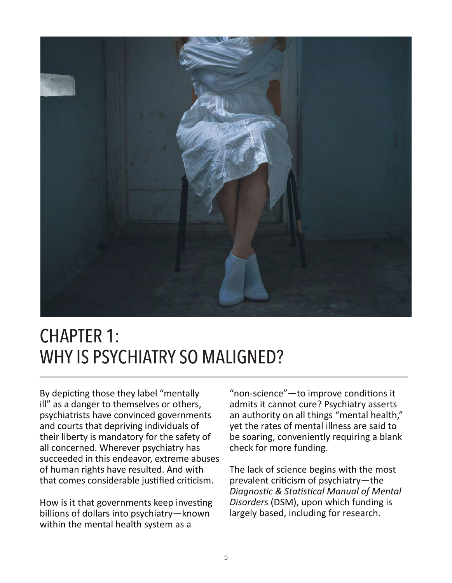

### CHAPTER 1: WHY IS PSYCHIATRY SO MALIGNED?

By depicting those they label "mentally ill" as a danger to themselves or others, psychiatrists have convinced governments and courts that depriving individuals of their liberty is mandatory for the safety of all concerned. Wherever psychiatry has succeeded in this endeavor, extreme abuses of human rights have resulted. And with that comes considerable justified criticism.

How is it that governments keep investing billions of dollars into psychiatry—known within the mental health system as a

"non-science"—to improve conditions it admits it cannot cure? Psychiatry asserts an authority on all things "mental health," yet the rates of mental illness are said to be soaring, conveniently requiring a blank check for more funding.

The lack of science begins with the most prevalent criticism of psychiatry—the *Diagnostic & Statistical Manual of Mental Disorders* (DSM), upon which funding is largely based, including for research.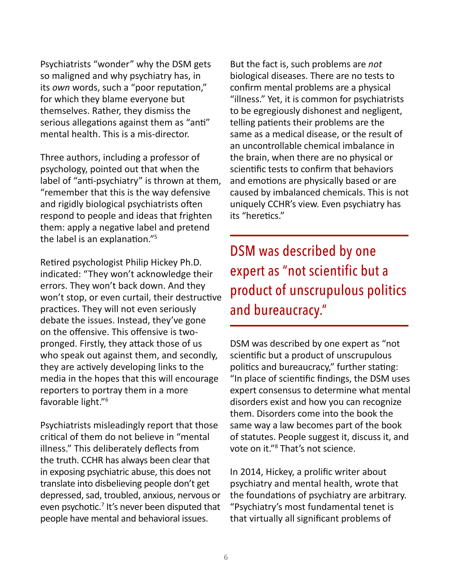Psychiatrists "wonder" why the DSM gets so maligned and why psychiatry has, in its *own* words, such a "poor reputation," for which they blame everyone but themselves. Rather, they dismiss the serious allegations against them as "anti" mental health. This is a mis-director.

Three authors, including a professor of psychology, pointed out that when the label of "anti-psychiatry" is thrown at them, "remember that this is the way defensive and rigidly biological psychiatrists often respond to people and ideas that frighten them: apply a negative label and pretend the label is an explanation."5

Retired psychologist Philip Hickey Ph.D. indicated: "They won't acknowledge their errors. They won't back down. And they won't stop, or even curtail, their destructive practices. They will not even seriously debate the issues. Instead, they've gone on the offensive. This offensive is twopronged. Firstly, they attack those of us who speak out against them, and secondly, they are actively developing links to the media in the hopes that this will encourage reporters to portray them in a more favorable light."<sup>6</sup>

Psychiatrists misleadingly report that those critical of them do not believe in "mental illness." This deliberately deflects from the truth. CCHR has always been clear that in exposing psychiatric abuse, this does not translate into disbelieving people don't get depressed, sad, troubled, anxious, nervous or even psychotic.<sup>7</sup> It's never been disputed that people have mental and behavioral issues.

But the fact is, such problems are *not*  biological diseases. There are no tests to confirm mental problems are a physical "illness." Yet, it is common for psychiatrists to be egregiously dishonest and negligent, telling patients their problems are the same as a medical disease, or the result of an uncontrollable chemical imbalance in the brain, when there are no physical or scientific tests to confirm that behaviors and emotions are physically based or are caused by imbalanced chemicals. This is not uniquely CCHR's view. Even psychiatry has its "heretics."

DSM was described by one expert as "not scientific but a product of unscrupulous politics and bureaucracy."

DSM was described by one expert as "not scientific but a product of unscrupulous politics and bureaucracy," further stating: "In place of scientific findings, the DSM uses expert consensus to determine what mental disorders exist and how you can recognize them. Disorders come into the book the same way a law becomes part of the book of statutes. People suggest it, discuss it, and vote on it."<sup>8</sup> That's not science.

In 2014, Hickey, a prolific writer about psychiatry and mental health, wrote that the foundations of psychiatry are arbitrary. "Psychiatry's most fundamental tenet is that virtually all significant problems of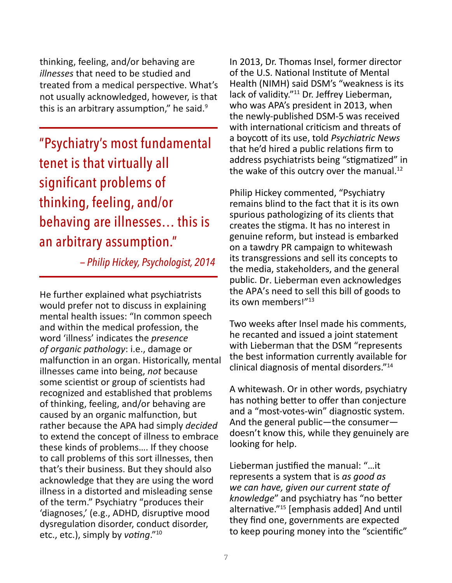thinking, feeling, and/or behaving are *illnesses* that need to be studied and treated from a medical perspective. What's not usually acknowledged, however, is that this is an arbitrary assumption," he said. $9$ 

"Psychiatry's most fundamental tenet is that virtually all significant problems of thinking, feeling, and/or behaving are illnesses… this is an arbitrary assumption."

 *— Philip Hickey, Psychologist, 2014*

He further explained what psychiatrists would prefer not to discuss in explaining mental health issues: "In common speech and within the medical profession, the word 'illness' indicates the *presence of organic pathology*: i.e., damage or malfunction in an organ. Historically, mental illnesses came into being, *not* because some scientist or group of scientists had recognized and established that problems of thinking, feeling, and/or behaving are caused by an organic malfunction, but rather because the APA had simply *decided* to extend the concept of illness to embrace these kinds of problems…. If they choose to call problems of this sort illnesses, then that's their business. But they should also acknowledge that they are using the word illness in a distorted and misleading sense of the term." Psychiatry "produces their 'diagnoses,' (e.g., ADHD, disruptive mood dysregulation disorder, conduct disorder, etc., etc.), simply by *voting*."10

In 2013, Dr. Thomas Insel, former director of the U.S. National Institute of Mental Health (NIMH) said DSM's "weakness is its lack of validity."<sup>11</sup> Dr. Jeffrey Lieberman, who was APA's president in 2013, when the newly-published DSM-5 was received with international criticism and threats of a boycott of its use, told *Psychiatric News* that he'd hired a public relations firm to address psychiatrists being "stigmatized" in the wake of this outcry over the manual. $^{12}$ 

Philip Hickey commented, "Psychiatry remains blind to the fact that it is its own spurious pathologizing of its clients that creates the stigma. It has no interest in genuine reform, but instead is embarked on a tawdry PR campaign to whitewash its transgressions and sell its concepts to the media, stakeholders, and the general public. Dr. Lieberman even acknowledges the APA's need to sell this bill of goods to its own members!"13

Two weeks after Insel made his comments, he recanted and issued a joint statement with Lieberman that the DSM "represents the best information currently available for clinical diagnosis of mental disorders."<sup>14</sup>

A whitewash. Or in other words, psychiatry has nothing better to offer than conjecture and a "most-votes-win" diagnostic system. And the general public—the consumer doesn't know this, while they genuinely are looking for help.

Lieberman justified the manual: "…it represents a system that is *as good as we can have, given our current state of knowledge*" and psychiatry has "no better alternative."15 [emphasis added] And until they find one, governments are expected to keep pouring money into the "scientific"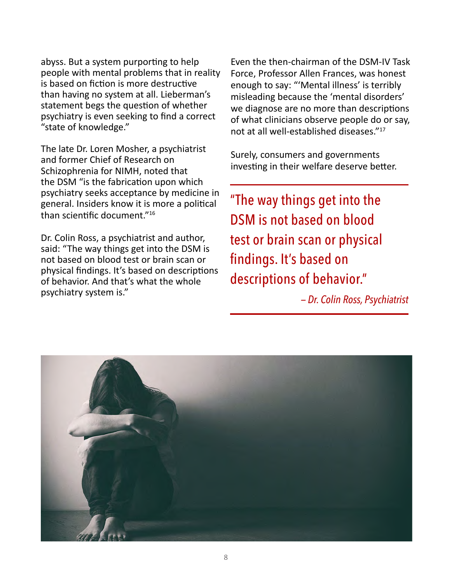abyss. But a system purporting to help people with mental problems that in reality is based on fiction is more destructive than having no system at all. Lieberman's statement begs the question of whether psychiatry is even seeking to find a correct "state of knowledge."

The late Dr. Loren Mosher, a psychiatrist and former Chief of Research on Schizophrenia for NIMH, noted that the DSM "is the fabrication upon which psychiatry seeks acceptance by medicine in general. Insiders know it is more a political than scientific document."16

Dr. Colin Ross, a psychiatrist and author, said: "The way things get into the DSM is not based on blood test or brain scan or physical findings. It's based on descriptions of behavior. And that's what the whole psychiatry system is."

Even the then-chairman of the DSM-IV Task Force, Professor Allen Frances, was honest enough to say: "'Mental illness' is terribly misleading because the 'mental disorders' we diagnose are no more than descriptions of what clinicians observe people do or say, not at all well-established diseases."<sup>17</sup>

Surely, consumers and governments investing in their welfare deserve better.

"The way things get into the DSM is not based on blood test or brain scan or physical findings. It's based on descriptions of behavior."

 *— Dr. Colin Ross, Psychiatrist*

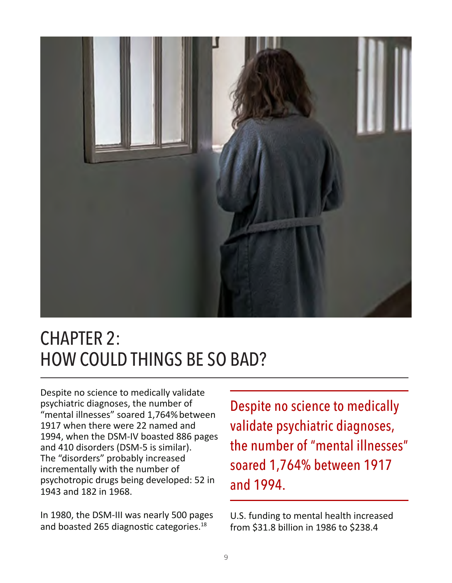

### CHAPTER 2: HOW COULD THINGS BE SO BAD?

Despite no science to medically validate psychiatric diagnoses, the number of "mental illnesses" soared 1,764%between 1917 when there were 22 named and 1994, when the DSM-IV boasted 886 pages and 410 disorders (DSM-5 is similar). The "disorders" probably increased incrementally with the number of psychotropic drugs being developed: 52 in 1943 and 182 in 1968.

In 1980, the DSM-III was nearly 500 pages and boasted 265 diagnostic categories.<sup>18</sup>

Despite no science to medically validate psychiatric diagnoses, the number of "mental illnesses" soared 1,764% between 1917 and 1994.

U.S. funding to mental health increased from \$31.8 billion in 1986 to \$238.4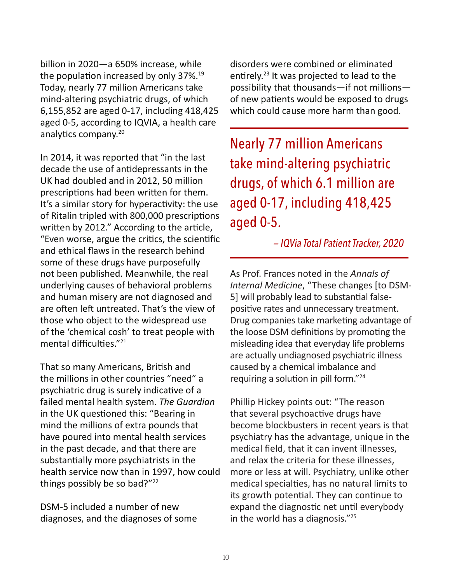billion in 2020—a 650% increase, while the population increased by only 37%.<sup>19</sup> Today, nearly 77 million Americans take mind-altering psychiatric drugs, of which 6,155,852 are aged 0-17, including 418,425 aged 0-5, according to IQVIA, a health care analytics company.<sup>20</sup>

In 2014, it was reported that "in the last decade the use of antidepressants in the UK had doubled and in 2012, 50 million prescriptions had been written for them. It's a similar story for hyperactivity: the use of Ritalin tripled with 800,000 prescriptions written by 2012." According to the article, "Even worse, argue the critics, the scientific and ethical flaws in the research behind some of these drugs have purposefully not been published. Meanwhile, the real underlying causes of behavioral problems and human misery are not diagnosed and are often left untreated. That's the view of those who object to the widespread use of the 'chemical cosh' to treat people with mental difficulties."<sup>21</sup>

That so many Americans, British and the millions in other countries "need" a psychiatric drug is surely indicative of a failed mental health system. *The Guardian* in the UK questioned this: "Bearing in mind the millions of extra pounds that have poured into mental health services in the past decade, and that there are substantially more psychiatrists in the health service now than in 1997, how could things possibly be so bad?"22

DSM-5 included a number of new diagnoses, and the diagnoses of some disorders were combined or eliminated entirely.<sup>23</sup> It was projected to lead to the possibility that thousands—if not millions of new patients would be exposed to drugs which could cause more harm than good.

Nearly 77 million Americans take mind-altering psychiatric drugs, of which 6.1 million are aged 0-17, including 418,425 aged 0-5.

 *— IQVia Total Patient Tracker, 2020*

As Prof. Frances noted in the *Annals of Internal Medicine*, "These changes [to DSM-5] will probably lead to substantial falsepositive rates and unnecessary treatment. Drug companies take marketing advantage of the loose DSM definitions by promoting the misleading idea that everyday life problems are actually undiagnosed psychiatric illness caused by a chemical imbalance and requiring a solution in pill form."<sup>24</sup>

Phillip Hickey points out: "The reason that several psychoactive drugs have become blockbusters in recent years is that psychiatry has the advantage, unique in the medical field, that it can invent illnesses, and relax the criteria for these illnesses, more or less at will. Psychiatry, unlike other medical specialties, has no natural limits to its growth potential. They can continue to expand the diagnostic net until everybody in the world has a diagnosis."25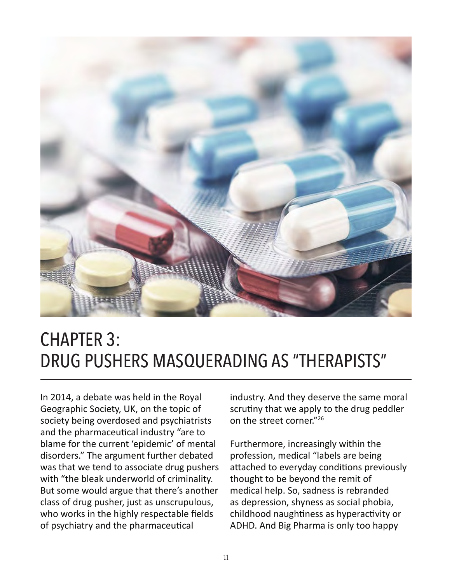

### CHAPTER 3: DRUG PUSHERS MASQUERADING AS "THERAPISTS"

In 2014, a debate was held in the Royal Geographic Society, UK, on the topic of society being overdosed and psychiatrists and the pharmaceutical industry "are to blame for the current 'epidemic' of mental disorders." The argument further debated was that we tend to associate drug pushers with "the bleak underworld of criminality. But some would argue that there's another class of drug pusher, just as unscrupulous, who works in the highly respectable fields of psychiatry and the pharmaceutical

industry. And they deserve the same moral scrutiny that we apply to the drug peddler on the street corner."<sup>26</sup>

Furthermore, increasingly within the profession, medical "labels are being attached to everyday conditions previously thought to be beyond the remit of medical help. So, sadness is rebranded as depression, shyness as social phobia, childhood naughtiness as hyperactivity or ADHD. And Big Pharma is only too happy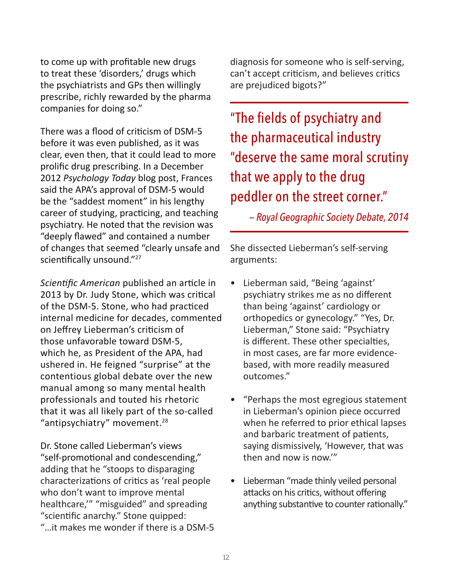to come up with profitable new drugs to treat these 'disorders,' drugs which the psychiatrists and GPs then willingly prescribe, richly rewarded by the pharma companies for doing so."

There was a flood of criticism of DSM-5 before it was even published, as it was clear, even then, that it could lead to more prolific drug prescribing. In a December 2012 *Psychology Today* blog post, Frances said the APA's approval of DSM-5 would be the "saddest moment" in his lengthy career of studying, practicing, and teaching psychiatry. He noted that the revision was "deeply flawed" and contained a number of changes that seemed "clearly unsafe and scientifically unsound."<sup>27</sup>

*Scientific American* published an article in 2013 by Dr. Judy Stone, which was critical of the DSM-5. Stone, who had practiced internal medicine for decades, commented on Jeffrey Lieberman's criticism of those unfavorable toward DSM-5, which he, as President of the APA, had ushered in. He feigned "surprise" at the contentious global debate over the new manual among so many mental health professionals and touted his rhetoric that it was all likely part of the so-called "antipsychiatry" movement.<sup>28</sup>

Dr. Stone called Lieberman's views "self-promotional and condescending," adding that he "stoops to disparaging characterizations of critics as 'real people who don't want to improve mental healthcare,'" "misguided" and spreading "scientific anarchy." Stone quipped: "…it makes me wonder if there is a DSM-5 diagnosis for someone who is self-serving, can't accept criticism, and believes critics are prejudiced bigots?"

"The fields of psychiatry and the pharmaceutical industry "deserve the same moral scrutiny that we apply to the drug peddler on the street corner."

 *— Royal Geographic Society Debate, 2014*

She dissected Lieberman's self-serving arguments:

- Lieberman said, "Being 'against' psychiatry strikes me as no different than being 'against' cardiology or orthopedics or gynecology." "Yes, Dr. Lieberman," Stone said: "Psychiatry is different. These other specialties, in most cases, are far more evidencebased, with more readily measured outcomes."
- "Perhaps the most egregious statement in Lieberman's opinion piece occurred when he referred to prior ethical lapses and barbaric treatment of patients, saying dismissively, 'However, that was then and now is now.'"
- Lieberman "made thinly veiled personal attacks on his critics, without offering anything substantive to counter rationally."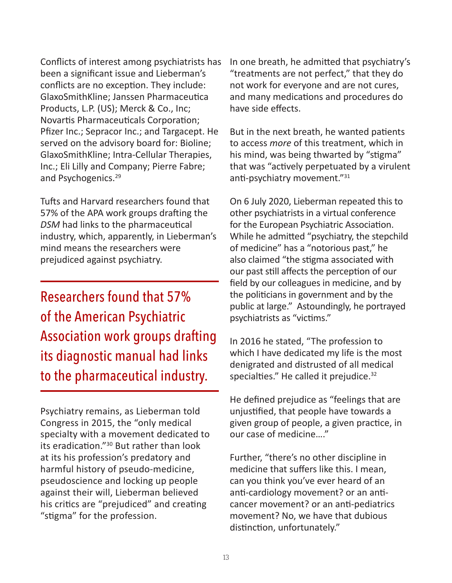Conflicts of interest among psychiatrists has been a significant issue and Lieberman's conflicts are no exception. They include: GlaxoSmithKline; Janssen Pharmaceutica Products, L.P. (US); Merck & Co., Inc; Novartis Pharmaceuticals Corporation; Pfizer Inc.; Sepracor Inc.; and Targacept. He served on the advisory board for: Bioline; GlaxoSmithKline; Intra-Cellular Therapies, Inc.; Eli Lilly and Company; Pierre Fabre; and Psychogenics.<sup>29</sup>

Tufts and Harvard researchers found that 57% of the APA work groups drafting the *DSM* had links to the pharmaceutical industry, which, apparently, in Lieberman's mind means the researchers were prejudiced against psychiatry.

Researchers found that 57% of the American Psychiatric Association work groups drafting its diagnostic manual had links to the pharmaceutical industry.

Psychiatry remains, as Lieberman told Congress in 2015, the "only medical specialty with a movement dedicated to its eradication."30 But rather than look at its his profession's predatory and harmful history of pseudo-medicine, pseudoscience and locking up people against their will, Lieberman believed his critics are "prejudiced" and creating "stigma" for the profession.

In one breath, he admitted that psychiatry's "treatments are not perfect," that they do not work for everyone and are not cures, and many medications and procedures do have side effects.

But in the next breath, he wanted patients to access *more* of this treatment, which in his mind, was being thwarted by "stigma" that was "actively perpetuated by a virulent anti-psychiatry movement."<sup>31</sup>

On 6 July 2020, Lieberman repeated this to other psychiatrists in a virtual conference for the European Psychiatric Association. While he admitted "psychiatry, the stepchild of medicine" has a "notorious past," he also claimed "the stigma associated with our past still affects the perception of our field by our colleagues in medicine, and by the politicians in government and by the public at large." Astoundingly, he portrayed psychiatrists as "victims."

In 2016 he stated, "The profession to which I have dedicated my life is the most denigrated and distrusted of all medical specialties." He called it prejudice.<sup>32</sup>

He defined prejudice as "feelings that are unjustified, that people have towards a given group of people, a given practice, in our case of medicine…."

Further, "there's no other discipline in medicine that suffers like this. I mean, can you think you've ever heard of an anti-cardiology movement? or an anticancer movement? or an anti-pediatrics movement? No, we have that dubious distinction, unfortunately."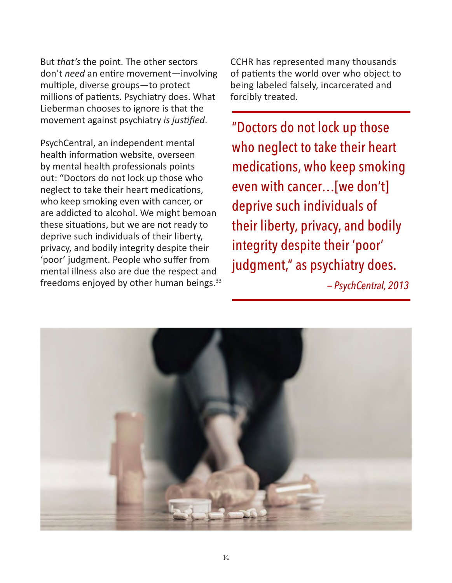But *that's* the point. The other sectors don't *need* an entire movement—involving multiple, diverse groups—to protect millions of patients. Psychiatry does. What Lieberman chooses to ignore is that the movement against psychiatry *is justified*.

PsychCentral, an independent mental health information website, overseen by mental health professionals points out: "Doctors do not lock up those who neglect to take their heart medications, who keep smoking even with cancer, or are addicted to alcohol. We might bemoan these situations, but we are not ready to deprive such individuals of their liberty, privacy, and bodily integrity despite their 'poor' judgment. People who suffer from mental illness also are due the respect and freedoms enjoyed by other human beings.<sup>33</sup>

CCHR has represented many thousands of patients the world over who object to being labeled falsely, incarcerated and forcibly treated.

"Doctors do not lock up those who neglect to take their heart medications, who keep smoking even with cancer…[we don't] deprive such individuals of their liberty, privacy, and bodily integrity despite their 'poor' judgment," as psychiatry does.

 *— PsychCentral, 2013*

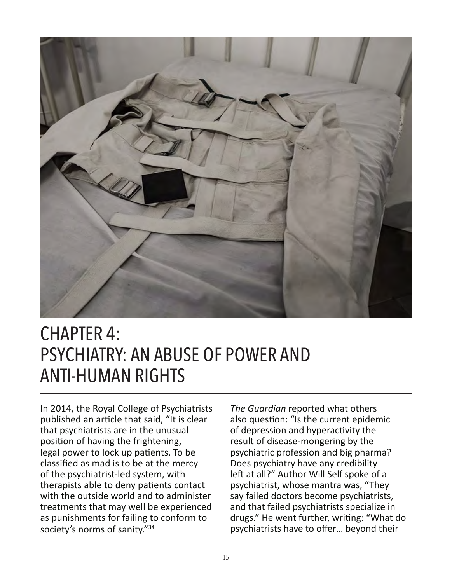

### CHAPTER 4: PSYCHIATRY: AN ABUSE OF POWER AND ANTI-HUMAN RIGHTS

In 2014, the Royal College of Psychiatrists published an article that said, "It is clear that psychiatrists are in the unusual position of having the frightening, legal power to lock up patients. To be classified as mad is to be at the mercy of the psychiatrist-led system, with therapists able to deny patients contact with the outside world and to administer treatments that may well be experienced as punishments for failing to conform to society's norms of sanity."<sup>34</sup>

*The Guardian* reported what others also question: "Is the current epidemic of depression and hyperactivity the result of disease-mongering by the psychiatric profession and big pharma? Does psychiatry have any credibility left at all?" Author Will Self spoke of a psychiatrist, whose mantra was, "They say failed doctors become psychiatrists, and that failed psychiatrists specialize in drugs." He went further, writing: "What do psychiatrists have to offer… beyond their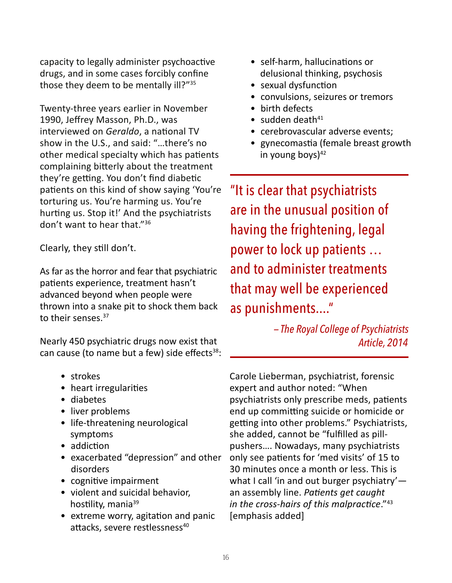capacity to legally administer psychoactive drugs, and in some cases forcibly confine those they deem to be mentally ill?"<sup>35</sup>

Twenty-three years earlier in November 1990, Jeffrey Masson, Ph.D., was interviewed on *Geraldo*, a national TV show in the U.S., and said: "…there's no other medical specialty which has patients complaining bitterly about the treatment they're getting. You don't find diabetic patients on this kind of show saying 'You're torturing us. You're harming us. You're hurting us. Stop it!' And the psychiatrists don't want to hear that."<sup>36</sup>

Clearly, they still don't.

As far as the horror and fear that psychiatric patients experience, treatment hasn't advanced beyond when people were thrown into a snake pit to shock them back to their senses.<sup>37</sup>

Nearly 450 psychiatric drugs now exist that can cause (to name but a few) side effects $38$ :

- strokes
- heart irregularities
- diabetes
- liver problems
- life-threatening neurological symptoms
- addiction
- exacerbated "depression" and other disorders
- cognitive impairment
- violent and suicidal behavior, hostility, mania<sup>39</sup>
- extreme worry, agitation and panic attacks, severe restlessness<sup>40</sup>
- self-harm, hallucinations or delusional thinking, psychosis
- sexual dysfunction
- convulsions, seizures or tremors
- birth defects
- $\bullet$  sudden death<sup>41</sup>
- cerebrovascular adverse events;
- gynecomastia (female breast growth in young boys $)^{42}$

"It is clear that psychiatrists are in the unusual position of having the frightening, legal power to lock up patients … and to administer treatments that may well be experienced as punishments...."

> *— The Royal College of Psychiatrists Article, 2014*

Carole Lieberman, psychiatrist, forensic expert and author noted: "When psychiatrists only prescribe meds, patients end up committing suicide or homicide or getting into other problems." Psychiatrists, she added, cannot be "fulfilled as pillpushers…. Nowadays, many psychiatrists only see patients for 'med visits' of 15 to 30 minutes once a month or less. This is what I call 'in and out burger psychiatry'an assembly line. *Patients get caught in the cross-hairs of this malpractice*."43 [emphasis added]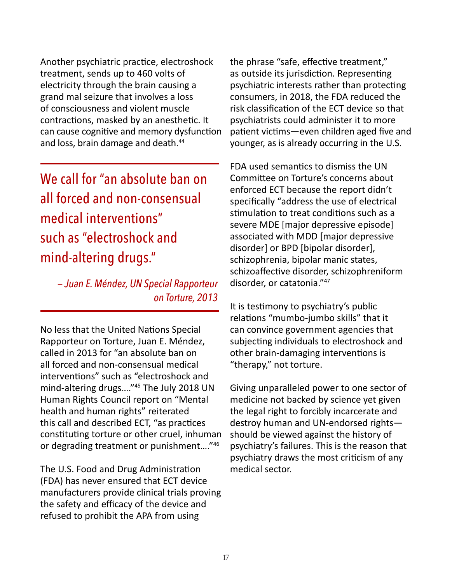Another psychiatric practice, electroshock treatment, sends up to 460 volts of electricity through the brain causing a grand mal seizure that involves a loss of consciousness and violent muscle contractions, masked by an anesthetic. It can cause cognitive and memory dysfunction and loss, brain damage and death.<sup>44</sup>

We call for "an absolute ban on all forced and non-consensual medical interventions" such as "electroshock and mind-altering drugs."

 *— Juan E. Méndez, — Juan E. Méndez, UN Special Rapporteur on Torture, 2013*

No less that the United Nations Special Rapporteur on Torture, Juan E. Méndez, called in 2013 for "an absolute ban on all forced and non-consensual medical interventions" such as "electroshock and mind-altering drugs…."45 The July 2018 UN Human Rights Council report on "Mental health and human rights" reiterated this call and described ECT, "as practices constituting torture or other cruel, inhuman or degrading treatment or punishment...."<sup>46</sup>

The U.S. Food and Drug Administration (FDA) has never ensured that ECT device manufacturers provide clinical trials proving the safety and efficacy of the device and refused to prohibit the APA from using

the phrase "safe, effective treatment," as outside its jurisdiction. Representing psychiatric interests rather than protecting consumers, in 2018, the FDA reduced the risk classification of the ECT device so that psychiatrists could administer it to more patient victims—even children aged five and younger, as is already occurring in the U.S.

FDA used semantics to dismiss the UN Committee on Torture's concerns about enforced ECT because the report didn't specifically "address the use of electrical stimulation to treat conditions such as a severe MDE [major depressive episode] associated with MDD [major depressive disorder] or BPD [bipolar disorder], schizophrenia, bipolar manic states, schizoaffective disorder, schizophreniform disorder, or catatonia."<sup>47</sup>

It is testimony to psychiatry's public relations "mumbo-jumbo skills" that it can convince government agencies that subjecting individuals to electroshock and other brain-damaging interventions is "therapy," not torture.

Giving unparalleled power to one sector of medicine not backed by science yet given the legal right to forcibly incarcerate and destroy human and UN-endorsed rights should be viewed against the history of psychiatry's failures. This is the reason that psychiatry draws the most criticism of any medical sector.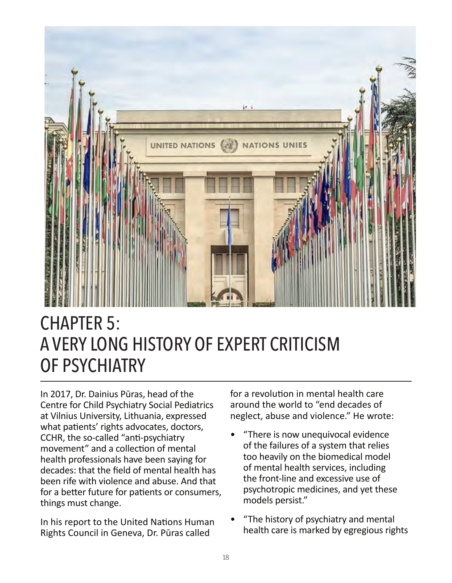

# CHAPTER 5: A VERY LONG HISTORY OF EXPERT CRITICISM OF PSYCHIATRY

In 2017, Dr. Dainius Pūras, head of the Centre for Child Psychiatry Social Pediatrics at Vilnius University, Lithuania, expressed what patients' rights advocates, doctors, CCHR, the so-called "anti-psychiatry movement" and a collection of mental health professionals have been saying for decades: that the field of mental health has been rife with violence and abuse. And that for a better future for patients or consumers, things must change.

In his report to the United Nations Human Rights Council in Geneva, Dr. Pūras called

for a revolution in mental health care around the world to "end decades of neglect, abuse and violence." He wrote:

- "There is now unequivocal evidence of the failures of a system that relies too heavily on the biomedical model of mental health services, including the front-line and excessive use of psychotropic medicines, and yet these models persist."
- "The history of psychiatry and mental health care is marked by egregious rights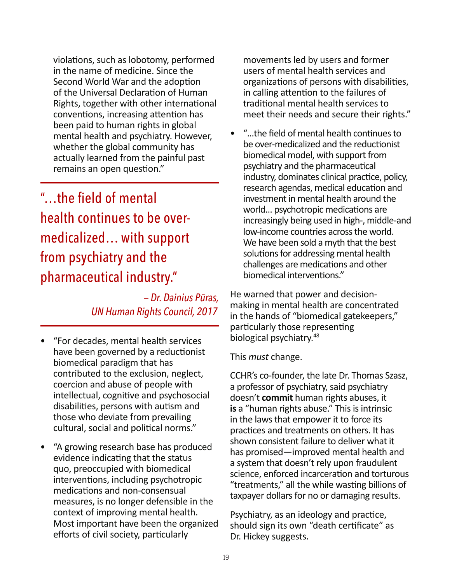violations, such as lobotomy, performed in the name of medicine. Since the Second World War and the adoption of the Universal Declaration of Human Rights, together with other international conventions, increasing attention has been paid to human rights in global mental health and psychiatry. However, whether the global community has actually learned from the painful past remains an open question."

### "…the field of mental health continues to be overmedicalized… with support from psychiatry and the pharmaceutical industry."

 *— Dr. Dainius Pūras, UN Human Rights Council, 2017*

- "For decades, mental health services have been governed by a reductionist biomedical paradigm that has contributed to the exclusion, neglect, coercion and abuse of people with intellectual, cognitive and psychosocial disabilities, persons with autism and those who deviate from prevailing cultural, social and political norms."
- "A growing research base has produced evidence indicating that the status quo, preoccupied with biomedical interventions, including psychotropic medications and non-consensual measures, is no longer defensible in the context of improving mental health. Most important have been the organized efforts of civil society, particularly

movements led by users and former users of mental health services and organizations of persons with disabilities, in calling attention to the failures of traditional mental health services to meet their needs and secure their rights."

• "…the field of mental health continues to be over-medicalized and the reductionist biomedical model, with support from psychiatry and the pharmaceutical industry, dominates clinical practice, policy, research agendas, medical education and investment in mental health around the world… psychotropic medications are increasingly being used in high-, middle-and low-income countries across the world. We have been sold a myth that the best solutions for addressing mental health challenges are medications and other biomedical interventions."

He warned that power and decisionmaking in mental health are concentrated in the hands of "biomedical gatekeepers," particularly those representing biological psychiatry.<sup>48</sup>

This *must* change.

CCHR's co-founder, the late Dr. Thomas Szasz, a professor of psychiatry, said psychiatry doesn't **commit** human rights abuses, it **is** a "human rights abuse." This is intrinsic in the laws that empower it to force its practices and treatments on others. It has shown consistent failure to deliver what it has promised—improved mental health and a system that doesn't rely upon fraudulent science, enforced incarceration and torturous "treatments," all the while wasting billions of taxpayer dollars for no or damaging results.

Psychiatry, as an ideology and practice, should sign its own "death certificate" as Dr. Hickey suggests.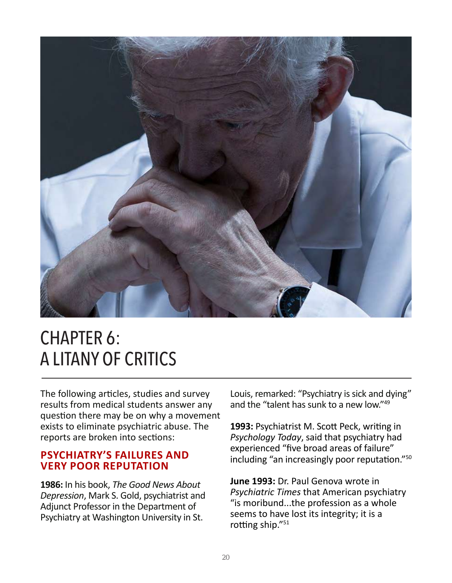

### CHAPTER 6: A LITANY OF CRITICS

The following articles, studies and survey results from medical students answer any question there may be on why a movement exists to eliminate psychiatric abuse. The reports are broken into sections:

#### **PSYCHIATRY'S FAILURES AND VERY POOR REPUTATION**

**1986:** In his book, *The Good News About Depression*, Mark S. Gold, psychiatrist and Adjunct Professor in the Department of Psychiatry at Washington University in St.

Louis, remarked: "Psychiatry is sick and dying" and the "talent has sunk to a new low."<sup>49</sup>

**1993:** Psychiatrist M. Scott Peck, writing in *Psychology Today*, said that psychiatry had experienced "five broad areas of failure" including "an increasingly poor reputation."50

**June 1993:** Dr. Paul Genova wrote in *Psychiatric Times* that American psychiatry "is moribund...the profession as a whole seems to have lost its integrity; it is a rotting ship."<sup>51</sup>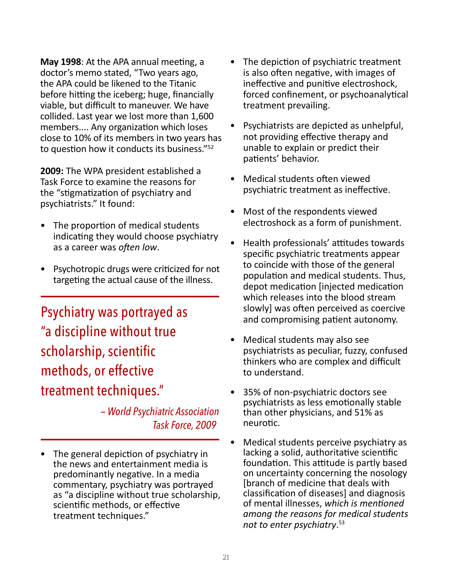**May 1998**: At the APA annual meeting, a doctor's memo stated, "Two years ago, the APA could be likened to the Titanic before hitting the iceberg; huge, financially viable, but difficult to maneuver. We have collided. Last year we lost more than 1,600 members.... Any organization which loses close to 10% of its members in two years has to question how it conducts its business."52

**2009:** The WPA president established a Task Force to examine the reasons for the "stigmatization of psychiatry and psychiatrists." It found:

- The proportion of medical students indicating they would choose psychiatry as a career was *often low*.
- Psychotropic drugs were criticized for not targeting the actual cause of the illness.

Psychiatry was portrayed as "a discipline without true scholarship, scientific methods, or effective treatment techniques."

> *— World Psychiatric Association Task Force, 2009*

• The general depiction of psychiatry in the news and entertainment media is predominantly negative. In a media commentary, psychiatry was portrayed as "a discipline without true scholarship, scientific methods, or effective treatment techniques."

- The depiction of psychiatric treatment is also often negative, with images of ineffective and punitive electroshock, forced confinement, or psychoanalytical treatment prevailing.
- Psychiatrists are depicted as unhelpful, not providing effective therapy and unable to explain or predict their patients' behavior.
- Medical students often viewed psychiatric treatment as ineffective.
- Most of the respondents viewed electroshock as a form of punishment.
- Health professionals' attitudes towards specific psychiatric treatments appear to coincide with those of the general population and medical students. Thus, depot medication [injected medication which releases into the blood stream slowly] was often perceived as coercive and compromising patient autonomy.
- Medical students may also see psychiatrists as peculiar, fuzzy, confused thinkers who are complex and difficult to understand.
- 35% of non-psychiatric doctors see psychiatrists as less emotionally stable than other physicians, and 51% as neurotic.
- Medical students perceive psychiatry as lacking a solid, authoritative scientific foundation. This attitude is partly based on uncertainty concerning the nosology [branch of medicine that deals with classification of diseases] and diagnosis of mental illnesses, *which is mentioned among the reasons for medical students not to enter psychiatry*. 53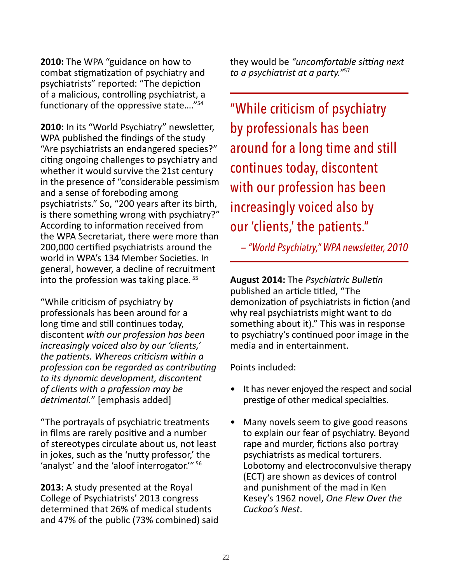**2010:** The WPA "guidance on how to combat stigmatization of psychiatry and psychiatrists" reported: "The depiction of a malicious, controlling psychiatrist, a functionary of the oppressive state…."54

**2010:** In its "World Psychiatry" newsletter, WPA published the findings of the study "Are psychiatrists an endangered species?" citing ongoing challenges to psychiatry and whether it would survive the 21st century in the presence of "considerable pessimism and a sense of foreboding among psychiatrists." So, "200 years after its birth, is there something wrong with psychiatry?" According to information received from the WPA Secretariat, there were more than 200,000 certified psychiatrists around the world in WPA's 134 Member Societies. In general, however, a decline of recruitment into the profession was taking place.<sup>55</sup>

"While criticism of psychiatry by professionals has been around for a long time and still continues today, discontent *with our profession has been increasingly voiced also by our 'clients,' the patients. Whereas criticism within a profession can be regarded as contributing to its dynamic development, discontent of clients with a profession may be detrimental.*" [emphasis added]

"The portrayals of psychiatric treatments in films are rarely positive and a number of stereotypes circulate about us, not least in jokes, such as the 'nutty professor,' the 'analyst' and the 'aloof interrogator.'" <sup>56</sup>

**2013:** A study presented at the Royal College of Psychiatrists' 2013 congress determined that 26% of medical students and 47% of the public (73% combined) said they would be *"uncomfortable sitting next to a psychiatrist at a party."*<sup>57</sup>

"While criticism of psychiatry by professionals has been around for a long time and still continues today, discontent with our profession has been increasingly voiced also by our 'clients,' the patients."

 *— "World Psychiatry," WPA newsletter, 2010* 

**August 2014:** The *Psychiatric Bulletin* published an article titled, "The demonization of psychiatrists in fiction (and why real psychiatrists might want to do something about it)." This was in response to psychiatry's continued poor image in the media and in entertainment.

Points included:

- It has never enjoyed the respect and social prestige of other medical specialties.
- Many novels seem to give good reasons to explain our fear of psychiatry. Beyond rape and murder, fictions also portray psychiatrists as medical torturers. Lobotomy and electroconvulsive therapy (ECT) are shown as devices of control and punishment of the mad in Ken Kesey's 1962 novel, *One Flew Over the Cuckoo's Nest*.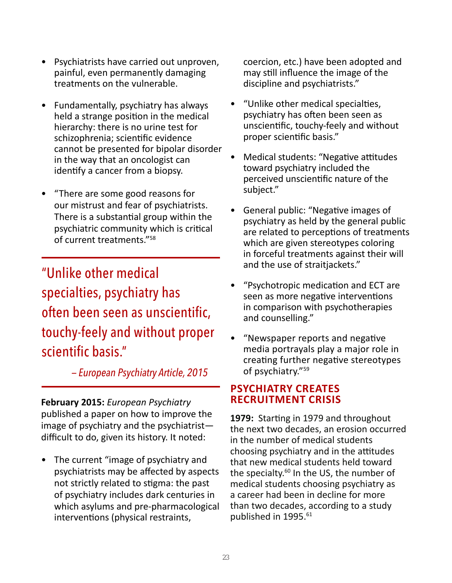- Psychiatrists have carried out unproven, painful, even permanently damaging treatments on the vulnerable.
- Fundamentally, psychiatry has always held a strange position in the medical hierarchy: there is no urine test for schizophrenia; scientific evidence cannot be presented for bipolar disorder in the way that an oncologist can identify a cancer from a biopsy.
- "There are some good reasons for our mistrust and fear of psychiatrists. There is a substantial group within the psychiatric community which is critical of current treatments."58

"Unlike other medical specialties, psychiatry has often been seen as unscientific, touchy-feely and without proper scientific basis."

 *— European Psychiatry Article, 2015*

**February 2015:** *European Psychiatry*  published a paper on how to improve the image of psychiatry and the psychiatrist difficult to do, given its history. It noted:

• The current "image of psychiatry and psychiatrists may be affected by aspects not strictly related to stigma: the past of psychiatry includes dark centuries in which asylums and pre-pharmacological interventions (physical restraints,

coercion, etc.) have been adopted and may still influence the image of the discipline and psychiatrists."

- "Unlike other medical specialties, psychiatry has often been seen as unscientific, touchy-feely and without proper scientific basis."
- Medical students: "Negative attitudes toward psychiatry included the perceived unscientific nature of the subject."
- General public: "Negative images of psychiatry as held by the general public are related to perceptions of treatments which are given stereotypes coloring in forceful treatments against their will and the use of straitjackets."
- "Psychotropic medication and ECT are seen as more negative interventions in comparison with psychotherapies and counselling."
- "Newspaper reports and negative media portrayals play a major role in creating further negative stereotypes of psychiatry."<sup>59</sup>

#### **PSYCHIATRY CREATES RECRUITMENT CRISIS**

**1979:** Starting in 1979 and throughout the next two decades, an erosion occurred in the number of medical students choosing psychiatry and in the attitudes that new medical students held toward the specialty.<sup>60</sup> In the US, the number of medical students choosing psychiatry as a career had been in decline for more than two decades, according to a study published in 1995.<sup>61</sup>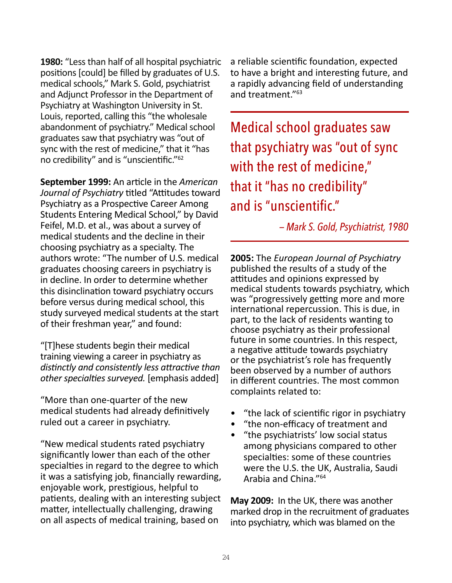**1980:** "Less than half of all hospital psychiatric positions [could] be filled by graduates of U.S. medical schools," Mark S. Gold, psychiatrist and Adjunct Professor in the Department of Psychiatry at Washington University in St. Louis, reported, calling this "the wholesale abandonment of psychiatry." Medical school graduates saw that psychiatry was "out of sync with the rest of medicine," that it "has no credibility" and is "unscientific."62

**September 1999:** An article in the *American Journal of Psychiatry* titled "Attitudes toward Psychiatry as a Prospective Career Among Students Entering Medical School," by David Feifel, M.D. et al., was about a survey of medical students and the decline in their choosing psychiatry as a specialty. The authors wrote: "The number of U.S. medical graduates choosing careers in psychiatry is in decline. In order to determine whether this disinclination toward psychiatry occurs before versus during medical school, this study surveyed medical students at the start of their freshman year," and found:

"[T]hese students begin their medical training viewing a career in psychiatry as *distinctly and consistently less attractive than other specialties surveyed.* [emphasis added]

"More than one-quarter of the new medical students had already definitively ruled out a career in psychiatry.

"New medical students rated psychiatry significantly lower than each of the other specialties in regard to the degree to which it was a satisfying job, financially rewarding, enjoyable work, prestigious, helpful to patients, dealing with an interesting subject matter, intellectually challenging, drawing on all aspects of medical training, based on

a reliable scientific foundation, expected to have a bright and interesting future, and a rapidly advancing field of understanding and treatment."63

Medical school graduates saw that psychiatry was "out of sync with the rest of medicine," that it "has no credibility" and is "unscientific."

 *— Mark S. Gold, Psychiatrist, 1980*

**2005:** The *European Journal of Psychiatry* published the results of a study of the attitudes and opinions expressed by medical students towards psychiatry, which was "progressively getting more and more international repercussion. This is due, in part, to the lack of residents wanting to choose psychiatry as their professional future in some countries. In this respect, a negative attitude towards psychiatry or the psychiatrist's role has frequently been observed by a number of authors in different countries. The most common complaints related to:

- "the lack of scientific rigor in psychiatry
- "the non-efficacy of treatment and
- "the psychiatrists' low social status among physicians compared to other specialties: some of these countries were the U.S. the UK, Australia, Saudi Arabia and China."<sup>64</sup>

**May 2009:** In the UK, there was another marked drop in the recruitment of graduates into psychiatry, which was blamed on the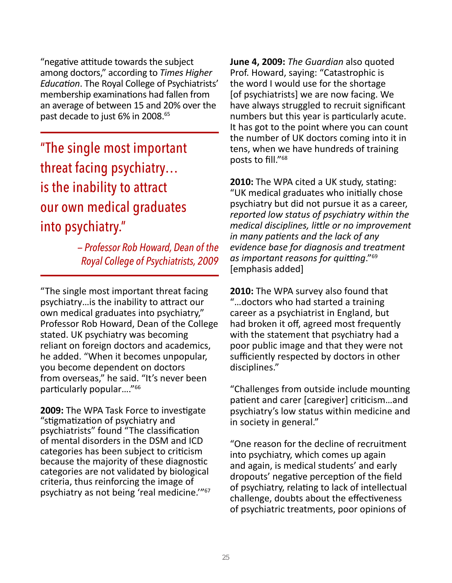"negative attitude towards the subject among doctors," according to *Times Higher Education*. The Royal College of Psychiatrists' membership examinations had fallen from an average of between 15 and 20% over the past decade to just 6% in 2008.<sup>65</sup>

"The single most important threat facing psychiatry… is the inability to attract our own medical graduates into psychiatry."

> *— Professor Rob Howard, Dean of the Royal College of Psychiatrists, 2009*

"The single most important threat facing psychiatry…is the inability to attract our own medical graduates into psychiatry," Professor Rob Howard, Dean of the College stated. UK psychiatry was becoming reliant on foreign doctors and academics, he added. "When it becomes unpopular, you become dependent on doctors from overseas," he said. "It's never been particularly popular...."<sup>66</sup>

**2009:** The WPA Task Force to investigate "stigmatization of psychiatry and psychiatrists" found "The classification of mental disorders in the DSM and ICD categories has been subject to criticism because the majority of these diagnostic categories are not validated by biological criteria, thus reinforcing the image of psychiatry as not being 'real medicine.'"67 **June 4, 2009:** *The Guardian* also quoted Prof. Howard, saying: "Catastrophic is the word I would use for the shortage [of psychiatrists] we are now facing. We have always struggled to recruit significant numbers but this year is particularly acute. It has got to the point where you can count the number of UK doctors coming into it in tens, when we have hundreds of training posts to fill."68

**2010:** The WPA cited a UK study, stating: "UK medical graduates who initially chose psychiatry but did not pursue it as a career, *reported low status of psychiatry within the medical disciplines, little or no improvement in many patients and the lack of any evidence base for diagnosis and treatment as important reasons for quitting*."<sup>69</sup> [emphasis added]

**2010:** The WPA survey also found that "…doctors who had started a training career as a psychiatrist in England, but had broken it off, agreed most frequently with the statement that psychiatry had a poor public image and that they were not sufficiently respected by doctors in other disciplines."

"Challenges from outside include mounting patient and carer [caregiver] criticism…and psychiatry's low status within medicine and in society in general."

"One reason for the decline of recruitment into psychiatry, which comes up again and again, is medical students' and early dropouts' negative perception of the field of psychiatry, relating to lack of intellectual challenge, doubts about the effectiveness of psychiatric treatments, poor opinions of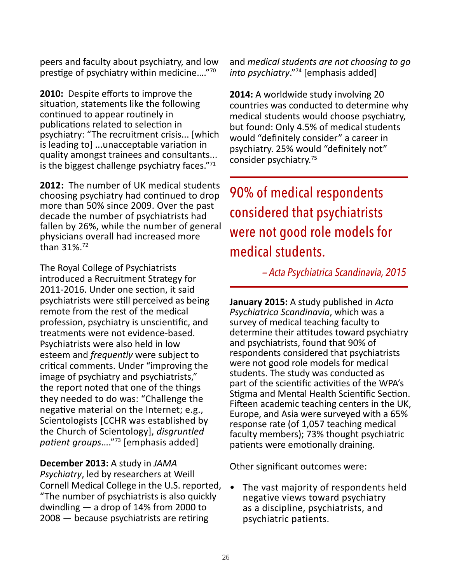peers and faculty about psychiatry, and low prestige of psychiatry within medicine…."<sup>70</sup>

**2010:** Despite efforts to improve the situation, statements like the following continued to appear routinely in publications related to selection in psychiatry: "The recruitment crisis... [which is leading to] ...unacceptable variation in quality amongst trainees and consultants... is the biggest challenge psychiatry faces."71

**2012:** The number of UK medical students choosing psychiatry had continued to drop more than 50% since 2009. Over the past decade the number of psychiatrists had fallen by 26%, while the number of general physicians overall had increased more than 31%.72

The Royal College of Psychiatrists introduced a Recruitment Strategy for 2011-2016. Under one section, it said psychiatrists were still perceived as being remote from the rest of the medical profession, psychiatry is unscientific, and treatments were not evidence-based. Psychiatrists were also held in low esteem and *frequently* were subject to critical comments. Under "improving the image of psychiatry and psychiatrists," the report noted that one of the things they needed to do was: "Challenge the negative material on the Internet; e.g., Scientologists [CCHR was established by the Church of Scientology], *disgruntled patient groups*…."<sup>73</sup> [emphasis added]

**December 2013:** A study in *JAMA* 

*Psychiatry*, led by researchers at Weill Cornell Medical College in the U.S. reported, "The number of psychiatrists is also quickly dwindling — a drop of 14% from 2000 to 2008 — because psychiatrists are retiring

and *medical students are not choosing to go into psychiatry*."74 [emphasis added]

**2014:** A worldwide study involving 20 countries was conducted to determine why medical students would choose psychiatry, but found: Only 4.5% of medical students would "definitely consider" a career in psychiatry. 25% would "definitely not" consider psychiatry.<sup>75</sup>

90% of medical respondents considered that psychiatrists were not good role models for medical students.

 *— Acta Psychiatrica Scandinavia, 2015*

**January 2015:** A study published in *Acta Psychiatrica Scandinavia*, which was a survey of medical teaching faculty to determine their attitudes toward psychiatry and psychiatrists, found that 90% of respondents considered that psychiatrists were not good role models for medical students. The study was conducted as part of the scientific activities of the WPA's Stigma and Mental Health Scientific Section. Fifteen academic teaching centers in the UK, Europe, and Asia were surveyed with a 65% response rate (of 1,057 teaching medical faculty members); 73% thought psychiatric patients were emotionally draining.

Other significant outcomes were:

• The vast majority of respondents held negative views toward psychiatry as a discipline, psychiatrists, and psychiatric patients.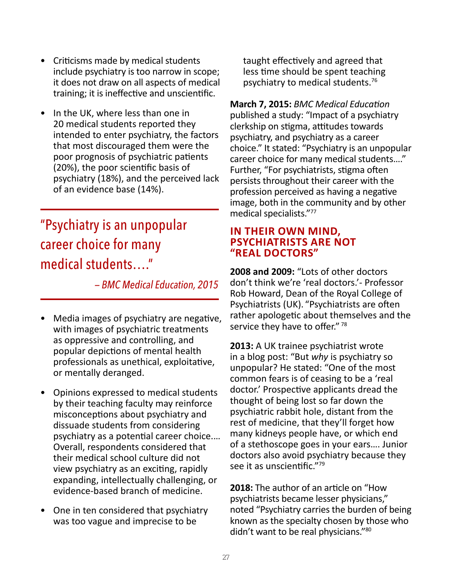- Criticisms made by medical students include psychiatry is too narrow in scope; it does not draw on all aspects of medical training; it is ineffective and unscientific.
- In the UK, where less than one in 20 medical students reported they intended to enter psychiatry, the factors that most discouraged them were the poor prognosis of psychiatric patients (20%), the poor scientific basis of psychiatry (18%), and the perceived lack of an evidence base (14%).

### "Psychiatry is an unpopular career choice for many medical students…."

 *— BMC Medical Education, 2015*

- Media images of psychiatry are negative, with images of psychiatric treatments as oppressive and controlling, and popular depictions of mental health professionals as unethical, exploitative, or mentally deranged.
- Opinions expressed to medical students by their teaching faculty may reinforce misconceptions about psychiatry and dissuade students from considering psychiatry as a potential career choice.… Overall, respondents considered that their medical school culture did not view psychiatry as an exciting, rapidly expanding, intellectually challenging, or evidence-based branch of medicine.
- One in ten considered that psychiatry was too vague and imprecise to be

taught effectively and agreed that less time should be spent teaching psychiatry to medical students.76

**March 7, 2015:** *BMC Medical Education* published a study: "Impact of a psychiatry clerkship on stigma, attitudes towards psychiatry, and psychiatry as a career choice." It stated: "Psychiatry is an unpopular career choice for many medical students…." Further, "For psychiatrists, stigma often persists throughout their career with the profession perceived as having a negative image, both in the community and by other medical specialists."<sup>77</sup>

#### **IN THEIR OWN MIND, PSYCHIATRISTS ARE NOT "REAL DOCTORS"**

**2008 and 2009:** "Lots of other doctors don't think we're 'real doctors.'- Professor Rob Howard, Dean of the Royal College of Psychiatrists (UK). "Psychiatrists are often rather apologetic about themselves and the service they have to offer." 78

**2013:** A UK trainee psychiatrist wrote in a blog post: "But *why* is psychiatry so unpopular? He stated: "One of the most common fears is of ceasing to be a 'real doctor.' Prospective applicants dread the thought of being lost so far down the psychiatric rabbit hole, distant from the rest of medicine, that they'll forget how many kidneys people have, or which end of a stethoscope goes in your ears…. Junior doctors also avoid psychiatry because they see it as unscientific."<sup>79</sup>

**2018:** The author of an article on "How psychiatrists became lesser physicians," noted "Psychiatry carries the burden of being known as the specialty chosen by those who didn't want to be real physicians."80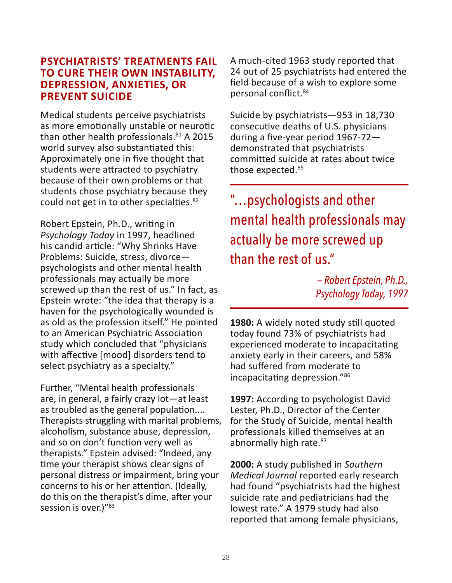#### **PSYCHIATRISTS' TREATMENTS FAIL TO CURE THEIR OWN INSTABILITY, DEPRESSION, ANXIETIES, OR PREVENT SUICIDE**

Medical students perceive psychiatrists as more emotionally unstable or neurotic than other health professionals. $81$  A 2015 world survey also substantiated this: Approximately one in five thought that students were attracted to psychiatry because of their own problems or that students chose psychiatry because they could not get in to other specialties.<sup>82</sup>

Robert Epstein, Ph.D., writing in *Psychology Today* in 1997, headlined his candid article: "Why Shrinks Have Problems: Suicide, stress, divorce psychologists and other mental health professionals may actually be more screwed up than the rest of us." In fact, as Epstein wrote: "the idea that therapy is a haven for the psychologically wounded is as old as the profession itself." He pointed to an American Psychiatric Association study which concluded that "physicians with affective [mood] disorders tend to select psychiatry as a specialty."

Further, "Mental health professionals are, in general, a fairly crazy lot—at least as troubled as the general population.... Therapists struggling with marital problems, alcoholism, substance abuse, depression, and so on don't function very well as therapists." Epstein advised: "Indeed, any time your therapist shows clear signs of personal distress or impairment, bring your concerns to his or her attention. (Ideally, do this on the therapist's dime, after your session is over.)"<sup>83</sup>

A much-cited 1963 study reported that 24 out of 25 psychiatrists had entered the field because of a wish to explore some personal conflict.<sup>84</sup>

Suicide by psychiatrists—953 in 18,730 consecutive deaths of U.S. physicians during a five-year period 1967-72 demonstrated that psychiatrists committed suicide at rates about twice those expected.<sup>85</sup>

"…psychologists and other mental health professionals may actually be more screwed up than the rest of us."

> *— Robert Epstein, Ph.D., Psychology Today, 1997*

**1980:** A widely noted study still quoted today found 73% of psychiatrists had experienced moderate to incapacitating anxiety early in their careers, and 58% had suffered from moderate to incapacitating depression."86

**1997:** According to psychologist David Lester, Ph.D., Director of the Center for the Study of Suicide, mental health professionals killed themselves at an abnormally high rate.<sup>87</sup>

**2000:** A study published in *Southern Medical Journal* reported early research had found "psychiatrists had the highest suicide rate and pediatricians had the lowest rate." A 1979 study had also reported that among female physicians,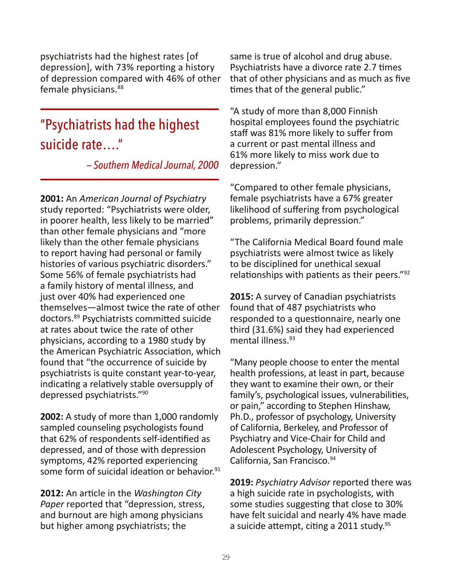psychiatrists had the highest rates [of depression], with 73% reporting a history of depression compared with 46% of other female physicians.<sup>88</sup>

### "Psychiatrists had the highest suicide rate…."

 *— Southern Medical Journal, 2000*

**2001:** An *American Journal of Psychiatry* study reported: "Psychiatrists were older, in poorer health, less likely to be married" than other female physicians and "more likely than the other female physicians to report having had personal or family histories of various psychiatric disorders." Some 56% of female psychiatrists had a family history of mental illness, and just over 40% had experienced one themselves—almost twice the rate of other doctors.89 Psychiatrists committed suicide at rates about twice the rate of other physicians, according to a 1980 study by the American Psychiatric Association, which found that "the occurrence of suicide by psychiatrists is quite constant year-to-year, indicating a relatively stable oversupply of depressed psychiatrists."<sup>90</sup>

**2002:** A study of more than 1,000 randomly sampled counseling psychologists found that 62% of respondents self-identified as depressed, and of those with depression symptoms, 42% reported experiencing some form of suicidal ideation or behavior.<sup>91</sup>

**2012:** An article in the *Washington City Paper* reported that "depression, stress, and burnout are high among physicians but higher among psychiatrists; the

same is true of alcohol and drug abuse. Psychiatrists have a divorce rate 2.7 times that of other physicians and as much as five times that of the general public."

"A study of more than 8,000 Finnish hospital employees found the psychiatric staff was 81% more likely to suffer from a current or past mental illness and 61% more likely to miss work due to depression."

"Compared to other female physicians, female psychiatrists have a 67% greater likelihood of suffering from psychological problems, primarily depression."

"The California Medical Board found male psychiatrists were almost twice as likely to be disciplined for unethical sexual relationships with patients as their peers."92

**2015:** A survey of Canadian psychiatrists found that of 487 psychiatrists who responded to a questionnaire, nearly one third (31.6%) said they had experienced mental illness.<sup>93</sup>

"Many people choose to enter the mental health professions, at least in part, because they want to examine their own, or their family's, psychological issues, vulnerabilities, or pain," according to Stephen Hinshaw, Ph.D., professor of psychology, University of California, Berkeley, and Professor of Psychiatry and Vice-Chair for Child and Adolescent Psychology, University of California, San Francisco. 94

**2019:** *Psychiatry Advisor* reported there was a high suicide rate in psychologists, with some studies suggesting that close to 30% have felt suicidal and nearly 4% have made a suicide attempt, citing a 2011 study.  $95$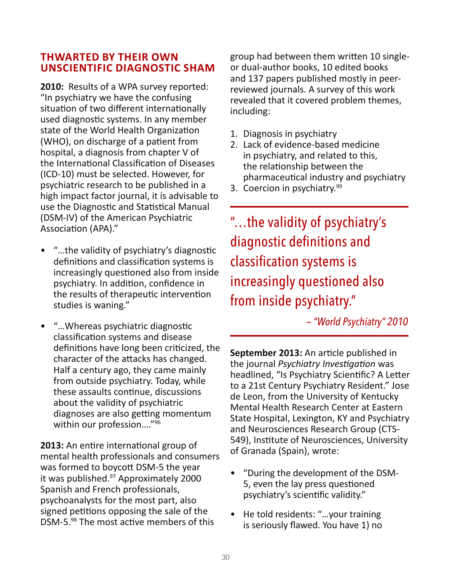#### **THWARTED BY THEIR OWN UNSCIENTIFIC DIAGNOSTIC SHAM**

**2010:** Results of a WPA survey reported: "In psychiatry we have the confusing situation of two different internationally used diagnostic systems. In any member state of the World Health Organization (WHO), on discharge of a patient from hospital, a diagnosis from chapter V of the International Classification of Diseases (ICD-10) must be selected. However, for psychiatric research to be published in a high impact factor journal, it is advisable to use the Diagnostic and Statistical Manual (DSM-IV) of the American Psychiatric Association (APA)."

- "…the validity of psychiatry's diagnostic definitions and classification systems is increasingly questioned also from inside psychiatry. In addition, confidence in the results of therapeutic intervention studies is waning."
- "…Whereas psychiatric diagnostic classification systems and disease definitions have long been criticized, the character of the attacks has changed. Half a century ago, they came mainly from outside psychiatry. Today, while these assaults continue, discussions about the validity of psychiatric diagnoses are also getting momentum within our profession…."96

**2013:** An entire international group of mental health professionals and consumers was formed to boycott DSM-5 the year it was published.<sup>97</sup> Approximately 2000 Spanish and French professionals, psychoanalysts for the most part, also signed petitions opposing the sale of the DSM-5.98 The most active members of this

group had between them written 10 singleor dual-author books, 10 edited books and 137 papers published mostly in peerreviewed journals. A survey of this work revealed that it covered problem themes, including:

- 1. Diagnosis in psychiatry
- 2. Lack of evidence-based medicine in psychiatry, and related to this, the relationship between the pharmaceutical industry and psychiatry
- 3. Coercion in psychiatry.<sup>99</sup>

"…the validity of psychiatry's diagnostic definitions and classification systems is increasingly questioned also from inside psychiatry."

 *— "World Psychiatry" 2010*

**September 2013:** An article published in the journal *Psychiatry Investigation* was headlined, "Is Psychiatry Scientific? A Letter to a 21st Century Psychiatry Resident." Jose de Leon, from the University of Kentucky Mental Health Research Center at Eastern State Hospital, Lexington, KY and Psychiatry and Neurosciences Research Group (CTS-549), Institute of Neurosciences, University of Granada (Spain), wrote:

- "During the development of the DSM-5, even the lay press questioned psychiatry's scientific validity."
- He told residents: "…your training is seriously flawed. You have 1) no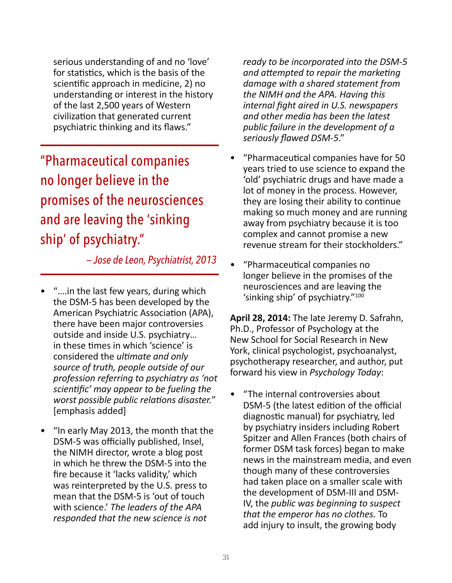serious understanding of and no 'love' for statistics, which is the basis of the scientific approach in medicine, 2) no understanding or interest in the history of the last 2,500 years of Western civilization that generated current psychiatric thinking and its flaws."

"Pharmaceutical companies no longer believe in the promises of the neurosciences and are leaving the 'sinking ship' of psychiatry."

 *— Jose de Leon, Psychiatrist, 2013*

- "….in the last few years, during which the DSM-5 has been developed by the American Psychiatric Association (APA), there have been major controversies outside and inside U.S. psychiatry… in these times in which 'science' is considered the *ultimate and only source of truth, people outside of our profession referring to psychiatry as 'not scientific' may appear to be fueling the worst possible public relations disaster.*" [emphasis added]
- "In early May 2013, the month that the DSM-5 was officially published, Insel, the NIMH director, wrote a blog post in which he threw the DSM-5 into the fire because it 'lacks validity,' which was reinterpreted by the U.S. press to mean that the DSM-5 is 'out of touch with science.' *The leaders of the APA responded that the new science is not*

*ready to be incorporated into the DSM-5 and attempted to repair the marketing damage with a shared statement from the NIMH and the APA. Having this internal fight aired in U.S. newspapers and other media has been the latest public failure in the development of a seriously flawed DSM-5*."

- "Pharmaceutical companies have for 50 years tried to use science to expand the 'old' psychiatric drugs and have made a lot of money in the process. However, they are losing their ability to continue making so much money and are running away from psychiatry because it is too complex and cannot promise a new revenue stream for their stockholders."
- "Pharmaceutical companies no longer believe in the promises of the neurosciences and are leaving the 'sinking ship' of psychiatry."100

**April 28, 2014:** The late Jeremy D. Safrahn, Ph.D., Professor of Psychology at the New School for Social Research in New York, clinical psychologist, psychoanalyst, psychotherapy researcher, and author, put forward his view in *Psychology Today*:

• "The internal controversies about DSM-5 (the latest edition of the official diagnostic manual) for psychiatry, led by psychiatry insiders including Robert Spitzer and Allen Frances (both chairs of former DSM task forces) began to make news in the mainstream media, and even though many of these controversies had taken place on a smaller scale with the development of DSM-III and DSM-IV, the *public was beginning to suspect that the emperor has no clothes.* To add injury to insult, the growing body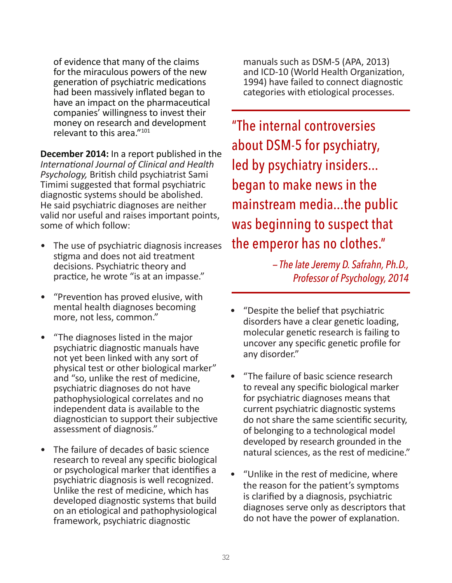of evidence that many of the claims for the miraculous powers of the new generation of psychiatric medications had been massively inflated began to have an impact on the pharmaceutical companies' willingness to invest their money on research and development relevant to this area."101

**December 2014:** In a report published in the *International Journal of Clinical and Health Psychology,* British child psychiatrist Sami Timimi suggested that formal psychiatric diagnostic systems should be abolished. He said psychiatric diagnoses are neither valid nor useful and raises important points, some of which follow:

- The use of psychiatric diagnosis increases stigma and does not aid treatment decisions. Psychiatric theory and practice, he wrote "is at an impasse."
- "Prevention has proved elusive, with mental health diagnoses becoming more, not less, common."
- "The diagnoses listed in the major psychiatric diagnostic manuals have not yet been linked with any sort of physical test or other biological marker" and "so, unlike the rest of medicine, psychiatric diagnoses do not have pathophysiological correlates and no independent data is available to the diagnostician to support their subjective assessment of diagnosis."
- The failure of decades of basic science research to reveal any specific biological or psychological marker that identifies a psychiatric diagnosis is well recognized. Unlike the rest of medicine, which has developed diagnostic systems that build on an etiological and pathophysiological framework, psychiatric diagnostic

manuals such as DSM-5 (APA, 2013) and ICD-10 (World Health Organization, 1994) have failed to connect diagnostic categories with etiological processes.

"The internal controversies about DSM-5 for psychiatry, led by psychiatry insiders... began to make news in the mainstream media...the public was beginning to suspect that the emperor has no clothes."

> *— The late Jeremy D. Safrahn, Ph.D., Professor of Psychology, 2014*

- "Despite the belief that psychiatric disorders have a clear genetic loading, molecular genetic research is failing to uncover any specific genetic profile for any disorder."
- "The failure of basic science research to reveal any specific biological marker for psychiatric diagnoses means that current psychiatric diagnostic systems do not share the same scientific security, of belonging to a technological model developed by research grounded in the natural sciences, as the rest of medicine."
- "Unlike in the rest of medicine, where the reason for the patient's symptoms is clarified by a diagnosis, psychiatric diagnoses serve only as descriptors that do not have the power of explanation.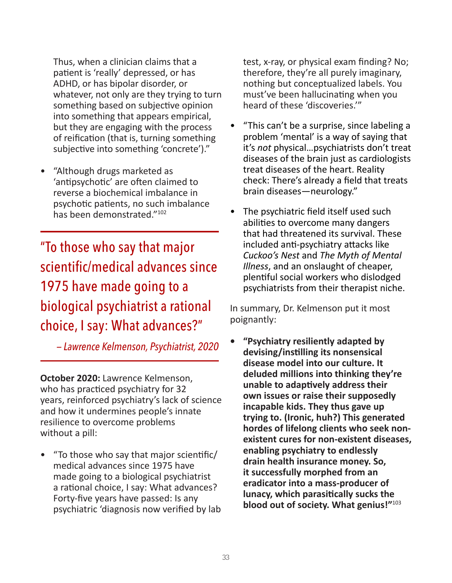Thus, when a clinician claims that a patient is 'really' depressed, or has ADHD, or has bipolar disorder, or whatever, not only are they trying to turn something based on subjective opinion into something that appears empirical, but they are engaging with the process of reification (that is, turning something subjective into something 'concrete')."

• "Although drugs marketed as 'antipsychotic' are often claimed to reverse a biochemical imbalance in psychotic patients, no such imbalance has been demonstrated."<sup>102</sup>

"To those who say that major scientific/medical advances since 1975 have made going to a biological psychiatrist a rational choice, I say: What advances?"

 *— Lawrence Kelmenson, Psychiatrist, 2020*

**October 2020:** Lawrence Kelmenson, who has practiced psychiatry for 32 years, reinforced psychiatry's lack of science and how it undermines people's innate resilience to overcome problems without a pill:

• "To those who say that major scientific/ medical advances since 1975 have made going to a biological psychiatrist a rational choice, I say: What advances? Forty-five years have passed: Is any psychiatric 'diagnosis now verified by lab test, x-ray, or physical exam finding? No; therefore, they're all purely imaginary, nothing but conceptualized labels. You must've been hallucinating when you heard of these 'discoveries.'"

- "This can't be a surprise, since labeling a problem 'mental' is a way of saying that it's *not* physical…psychiatrists don't treat diseases of the brain just as cardiologists treat diseases of the heart. Reality check: There's already a field that treats brain diseases—neurology."
- The psychiatric field itself used such abilities to overcome many dangers that had threatened its survival. These included anti-psychiatry attacks like *Cuckoo's Nest* and *The Myth of Mental Illness*, and an onslaught of cheaper, plentiful social workers who dislodged psychiatrists from their therapist niche.

In summary, Dr. Kelmenson put it most poignantly:

**• "Psychiatry resiliently adapted by devising/instilling its nonsensical disease model into our culture. It deluded millions into thinking they're unable to adaptively address their own issues or raise their supposedly incapable kids. They thus gave up trying to. (Ironic, huh?) This generated hordes of lifelong clients who seek nonexistent cures for non-existent diseases, enabling psychiatry to endlessly drain health insurance money. So, it successfully morphed from an eradicator into a mass-producer of lunacy, which parasitically sucks the blood out of society. What genius!"**<sup>103</sup>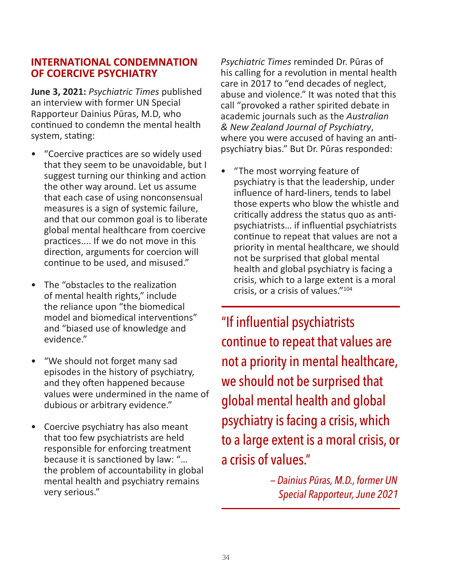#### **INTERNATIONAL CONDEMNATION OF COERCIVE PSYCHIATRY**

**June 3, 2021:** *Psychiatric Times* published an interview with former UN Special Rapporteur Dainius Pūras, M.D, who continued to condemn the mental health system, stating:

- "Coercive practices are so widely used that they seem to be unavoidable, but I suggest turning our thinking and action the other way around. Let us assume that each case of using nonconsensual measures is a sign of systemic failure, and that our common goal is to liberate global mental healthcare from coercive practices.... If we do not move in this direction, arguments for coercion will continue to be used, and misused."
- The "obstacles to the realization of mental health rights," include the reliance upon "the biomedical model and biomedical interventions" and "biased use of knowledge and evidence."
- "We should not forget many sad episodes in the history of psychiatry, and they often happened because values were undermined in the name of dubious or arbitrary evidence."
- Coercive psychiatry has also meant that too few psychiatrists are held responsible for enforcing treatment because it is sanctioned by law: "… the problem of accountability in global mental health and psychiatry remains very serious."

*Psychiatric Times* reminded Dr. Pūras of his calling for a revolution in mental health care in 2017 to "end decades of neglect, abuse and violence." It was noted that this call "provoked a rather spirited debate in academic journals such as the *Australian & New Zealand Journal of Psychiatry*, where you were accused of having an antipsychiatry bias." But Dr. Pūras responded:

• "The most worrying feature of psychiatry is that the leadership, under influence of hard-liners, tends to label those experts who blow the whistle and critically address the status quo as antipsychiatrists… if influential psychiatrists continue to repeat that values are not a priority in mental healthcare, we should not be surprised that global mental health and global psychiatry is facing a crisis, which to a large extent is a moral crisis, or a crisis of values."104

"If influential psychiatrists continue to repeat that values are not a priority in mental healthcare, we should not be surprised that global mental health and global psychiatry is facing a crisis, which to a large extent is a moral crisis, or a crisis of values."

> *— Dainius Pūras, M.D., former UN Special Rapporteur, June 2021*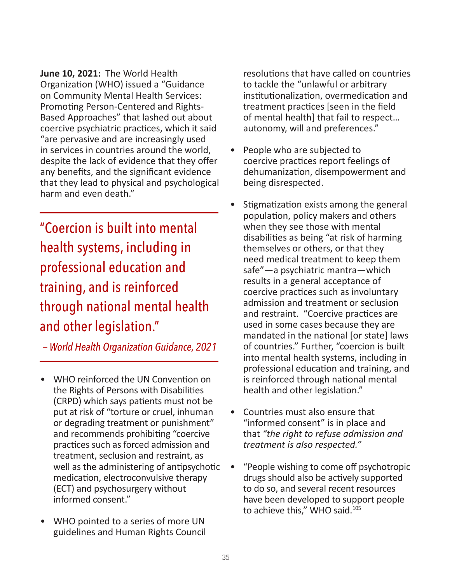**June 10, 2021:** The World Health Organization (WHO) issued a "Guidance on Community Mental Health Services: Promoting Person-Centered and Rights-Based Approaches" that lashed out about coercive psychiatric practices, which it said "are pervasive and are increasingly used in services in countries around the world, despite the lack of evidence that they offer any benefits, and the significant evidence that they lead to physical and psychological harm and even death."

"Coercion is built into mental health systems, including in professional education and training, and is reinforced through national mental health and other legislation."

*— World Health Organization Guidance, 2021*

- WHO reinforced the UN Convention on the Rights of Persons with Disabilities (CRPD) which says patients must not be put at risk of "torture or cruel, inhuman or degrading treatment or punishment" and recommends prohibiting "coercive practices such as forced admission and treatment, seclusion and restraint, as well as the administering of antipsychotic medication, electroconvulsive therapy (ECT) and psychosurgery without informed consent."
- WHO pointed to a series of more UN guidelines and Human Rights Council

resolutions that have called on countries to tackle the "unlawful or arbitrary institutionalization, overmedication and treatment practices [seen in the field of mental health] that fail to respect… autonomy, will and preferences."

- People who are subjected to coercive practices report feelings of dehumanization, disempowerment and being disrespected.
- Stigmatization exists among the general population, policy makers and others when they see those with mental disabilities as being "at risk of harming themselves or others, or that they need medical treatment to keep them safe"—a psychiatric mantra—which results in a general acceptance of coercive practices such as involuntary admission and treatment or seclusion and restraint. "Coercive practices are used in some cases because they are mandated in the national [or state] laws of countries." Further, "coercion is built into mental health systems, including in professional education and training, and is reinforced through national mental health and other legislation."
- Countries must also ensure that "informed consent" is in place and that *"the right to refuse admission and treatment is also respected."*
- "People wishing to come off psychotropic drugs should also be actively supported to do so, and several recent resources have been developed to support people to achieve this," WHO said.<sup>105</sup>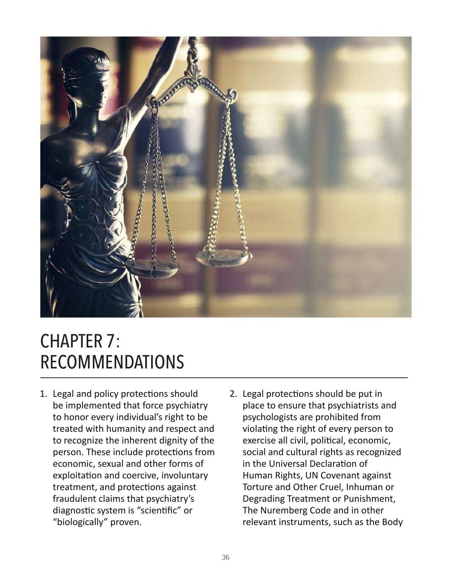

# CHAPTER 7: RECOMMENDATIONS

- 1. Legal and policy protections should be implemented that force psychiatry to honor every individual's right to be treated with humanity and respect and to recognize the inherent dignity of the person. These include protections from economic, sexual and other forms of exploitation and coercive, involuntary treatment, and protections against fraudulent claims that psychiatry's diagnostic system is "scientific" or "biologically" proven.
- 2. Legal protections should be put in place to ensure that psychiatrists and psychologists are prohibited from violating the right of every person to exercise all civil, political, economic, social and cultural rights as recognized in the Universal Declaration of Human Rights, UN Covenant against Torture and Other Cruel, Inhuman or Degrading Treatment or Punishment, The Nuremberg Code and in other relevant instruments, such as the Body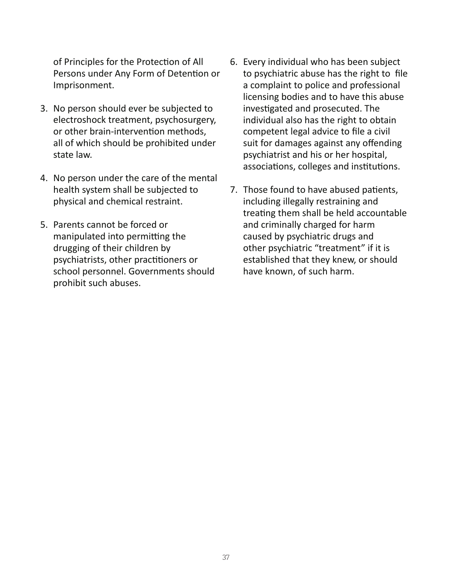of Principles for the Protection of All Persons under Any Form of Detention or Imprisonment.

- 3. No person should ever be subjected to electroshock treatment, psychosurgery, or other brain-intervention methods, all of which should be prohibited under state law.
- 4. No person under the care of the mental health system shall be subjected to physical and chemical restraint.
- 5. Parents cannot be forced or manipulated into permitting the drugging of their children by psychiatrists, other practitioners or school personnel. Governments should prohibit such abuses.
- 6. Every individual who has been subject to psychiatric abuse has the right to file a complaint to police and professional licensing bodies and to have this abuse investigated and prosecuted. The individual also has the right to obtain competent legal advice to file a civil suit for damages against any offending psychiatrist and his or her hospital, associations, colleges and institutions.
- 7. Those found to have abused patients, including illegally restraining and treating them shall be held accountable and criminally charged for harm caused by psychiatric drugs and other psychiatric "treatment" if it is established that they knew, or should have known, of such harm.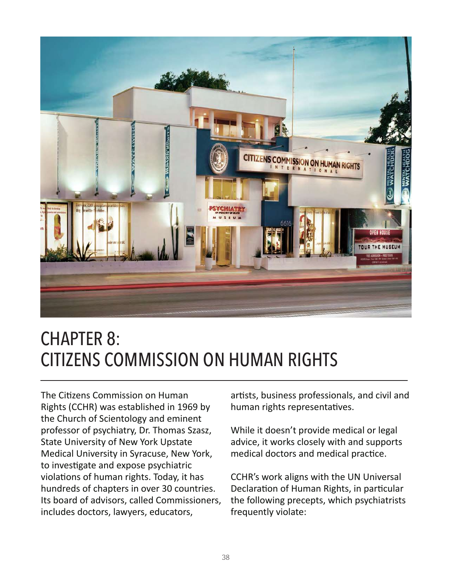

## CHAPTER 8: CITIZENS COMMISSION ON HUMAN RIGHTS

The Citizens Commission on Human Rights (CCHR) was established in 1969 by the Church of Scientology and eminent professor of psychiatry, Dr. Thomas Szasz, State University of New York Upstate Medical University in Syracuse, New York, to investigate and expose psychiatric violations of human rights. Today, it has hundreds of chapters in over 30 countries. Its board of advisors, called Commissioners, includes doctors, lawyers, educators,

artists, business professionals, and civil and human rights representatives.

While it doesn't provide medical or legal advice, it works closely with and supports medical doctors and medical practice.

CCHR's work aligns with the UN Universal Declaration of Human Rights, in particular the following precepts, which psychiatrists frequently violate: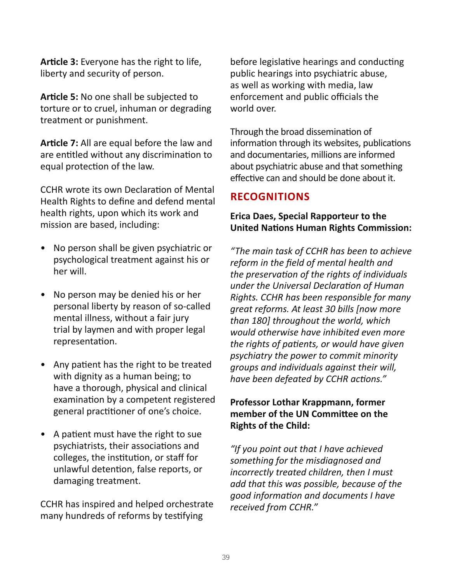**Article 3:** Everyone has the right to life, liberty and security of person.

**Article 5:** No one shall be subjected to torture or to cruel, inhuman or degrading treatment or punishment.

**Article 7:** All are equal before the law and are entitled without any discrimination to equal protection of the law.

CCHR wrote its own Declaration of Mental Health Rights to define and defend mental health rights, upon which its work and mission are based, including:

- No person shall be given psychiatric or psychological treatment against his or her will.
- No person may be denied his or her personal liberty by reason of so-called mental illness, without a fair jury trial by laymen and with proper legal representation.
- Any patient has the right to be treated with dignity as a human being; to have a thorough, physical and clinical examination by a competent registered general practitioner of one's choice.
- A patient must have the right to sue psychiatrists, their associations and colleges, the institution, or staff for unlawful detention, false reports, or damaging treatment.

CCHR has inspired and helped orchestrate many hundreds of reforms by testifying

before legislative hearings and conducting public hearings into psychiatric abuse, as well as working with media, law enforcement and public officials the world over.

Through the broad dissemination of information through its websites, publications and documentaries, millions are informed about psychiatric abuse and that something effective can and should be done about it.

#### **RECOGNITIONS**

#### **Erica Daes, Special Rapporteur to the United Nations Human Rights Commission:**

*"The main task of CCHR has been to achieve reform in the field of mental health and the preservation of the rights of individuals under the Universal Declaration of Human Rights. CCHR has been responsible for many great reforms. At least 30 bills [now more than 180] throughout the world, which would otherwise have inhibited even more the rights of patients, or would have given psychiatry the power to commit minority groups and individuals against their will, have been defeated by CCHR actions."*

#### **Professor Lothar Krappmann, former member of the UN Committee on the Rights of the Child:**

*"If you point out that I have achieved something for the misdiagnosed and incorrectly treated children, then I must add that this was possible, because of the good information and documents I have received from CCHR."*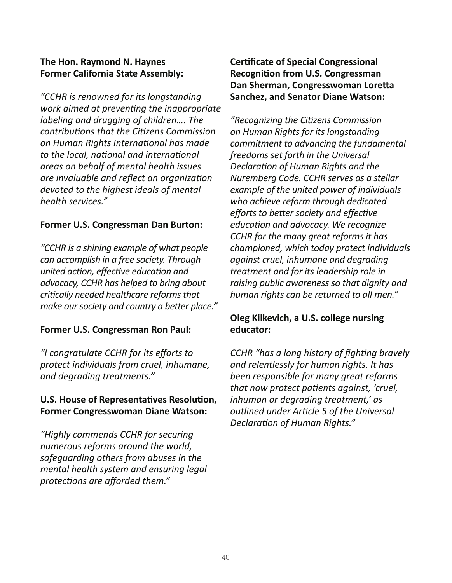#### **The Hon. Raymond N. Haynes Former California State Assembly:**

*"CCHR is renowned for its longstanding work aimed at preventing the inappropriate labeling and drugging of children…. The contributions that the Citizens Commission on Human Rights International has made to the local, national and international areas on behalf of mental health issues are invaluable and reflect an organization devoted to the highest ideals of mental health services."*

#### **Former U.S. Congressman Dan Burton:**

*"CCHR is a shining example of what people can accomplish in a free society. Through united action, effective education and advocacy, CCHR has helped to bring about critically needed healthcare reforms that make our society and country a better place."* 

#### **Former U.S. Congressman Ron Paul:**

*"I congratulate CCHR for its efforts to protect individuals from cruel, inhumane, and degrading treatments."* 

#### **U.S. House of Representatives Resolution, Former Congresswoman Diane Watson:**

*"Highly commends CCHR for securing numerous reforms around the world, safeguarding others from abuses in the mental health system and ensuring legal protections are afforded them."* 

#### **Certificate of Special Congressional Recognition from U.S. Congressman Dan Sherman, Congresswoman Loretta Sanchez, and Senator Diane Watson:**

*"Recognizing the Citizens Commission on Human Rights for its longstanding commitment to advancing the fundamental freedoms set forth in the Universal Declaration of Human Rights and the Nuremberg Code. CCHR serves as a stellar example of the united power of individuals who achieve reform through dedicated efforts to better society and effective education and advocacy. We recognize CCHR for the many great reforms it has championed, which today protect individuals against cruel, inhumane and degrading treatment and for its leadership role in raising public awareness so that dignity and human rights can be returned to all men."* 

#### **Oleg Kilkevich, a U.S. college nursing educator:**

*CCHR "has a long history of fighting bravely and relentlessly for human rights. It has been responsible for many great reforms that now protect patients against, 'cruel, inhuman or degrading treatment,' as outlined under Article 5 of the Universal Declaration of Human Rights."*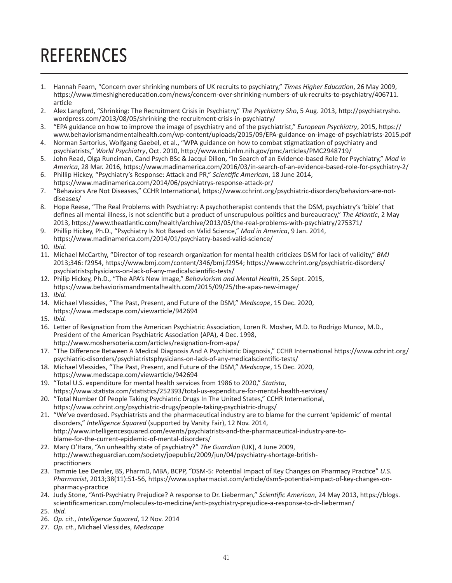# **REFERENCES**

- 1. Hannah Fearn, "Concern over shrinking numbers of UK recruits to psychiatry," *Times Higher Education*, 26 May 2009, https://www.timeshighereducation.com/news/concern-over-shrinking-numbers-of-uk-recruits-to-psychiatry/406711. article
- 2. Alex Langford, "Shrinking: The Recruitment Crisis in Psychiatry," *The Psychiatry Sho*, 5 Aug. 2013, http://psychiatrysho. wordpress.com/2013/08/05/shrinking-the-recruitment-crisis-in-psychiatry/
- 3. "EPA guidance on how to improve the image of psychiatry and of the psychiatrist," *European Psychiatry*, 2015, https:// www.behaviorismandmentalhealth.com/wp-content/uploads/2015/09/EPA-guidance-on-image-of-psychiatrists-2015.pdf
- 4. Norman Sartorius, Wolfgang Gaebel, et al., "WPA guidance on how to combat stigmatization of psychiatry and psychiatrists," *World Psychiatry*, Oct. 2010, http://www.ncbi.nlm.nih.gov/pmc/articles/PMC2948719/
- 5. John Read, Olga Runciman, Cand Psych BSc & Jacqui Dillon, "In Search of an Evidence-based Role for Psychiatry," *Mad in America*, 28 Mar. 2016, https://www.madinamerica.com/2016/03/in-search-of-an-evidence-based-role-for-psychiatry-2/
- 6. Phillip Hickey, "Psychiatry's Response: Attack and PR," *Scientific American*, 18 June 2014, https://www.madinamerica.com/2014/06/psychiatrys-response-attack-pr/
- 7. "Behaviors Are Not Diseases," CCHR International, https://www.cchrint.org/psychiatric-disorders/behaviors-are-notdiseases/
- 8. Hope Reese, "The Real Problems with Psychiatry: A psychotherapist contends that the DSM, psychiatry's 'bible' that defines all mental illness, is not scientific but a product of unscrupulous politics and bureaucracy," *The Atlantic*, 2 May 2013, https://www.theatlantic.com/health/archive/2013/05/the-real-problems-with-psychiatry/275371/
- 9. Phillip Hickey, Ph.D., "Psychiatry Is Not Based on Valid Science," *Mad in America*, 9 Jan. 2014, https://www.madinamerica.com/2014/01/psychiatry-based-valid-science/
- 10. *Ibid.*
- 11. Michael McCarthy, "Director of top research organization for mental health criticizes DSM for lack of validity," *BMJ*  2013;346: f2954, https://www.bmj.com/content/346/bmj.f2954; https://www.cchrint.org/psychiatric-disorders/ psychiatristsphysicians-on-lack-of-any-medicalscientific-tests/
- 12. Philip Hickey, Ph.D., "The APA's New Image," *Behaviorism and Mental Health*, 25 Sept. 2015, https://www.behaviorismandmentalhealth.com/2015/09/25/the-apas-new-image/
- 13. *Ibid.*
- 14. Michael Vlessides, "The Past, Present, and Future of the DSM," *Medscape*, 15 Dec. 2020, https://www.medscape.com/viewarticle/942694
- 15. *Ibid.*
- 16. Letter of Resignation from the American Psychiatric Association, Loren R. Mosher, M.D. to Rodrigo Munoz, M.D., President of the American Psychiatric Association (APA), 4 Dec. 1998, http://www.moshersoteria.com/articles/resignation-from-apa/
- 17. "The Difference Between A Medical Diagnosis And A Psychiatric Diagnosis," CCHR International https://www.cchrint.org/ psychiatric-disorders/psychiatristsphysicians-on-lack-of-any-medicalscientific-tests/
- 18. Michael Vlessides, "The Past, Present, and Future of the DSM," *Medscape*, 15 Dec. 2020, https://www.medscape.com/viewarticle/942694
- 19. "Total U.S. expenditure for mental health services from 1986 to 2020," *Statista*, https://www.statista.com/statistics/252393/total-us-expenditure-for-mental-health-services/
- 20. "Total Number Of People Taking Psychiatric Drugs In The United States," CCHR International, https://www.cchrint.org/psychiatric-drugs/people-taking-psychiatric-drugs/
- 21. "We've overdosed. Psychiatrists and the pharmaceutical industry are to blame for the current 'epidemic' of mental disorders," *Intelligence Squared* (supported by Vanity Fair), 12 Nov. 2014, http://www.intelligencesquared.com/events/psychiatrists-and-the-pharmaceutical-industry-are-toblame-for-the-current-epidemic-of-mental-disorders/
- 22. Mary O'Hara, "An unhealthy state of psychiatry?" *The Guardian* (UK), 4 June 2009, http://www.theguardian.com/society/joepublic/2009/jun/04/psychiatry-shortage-britishpractitioners
- 23. Tammie Lee Demler, BS, PharmD, MBA, BCPP, "DSM-5: Potential Impact of Key Changes on Pharmacy Practice" *U.S. Pharmacist*, 2013;38(11):51-56, https://www.uspharmacist.com/article/dsm5-potential-impact-of-key-changes-onpharmacy-practice
- 24. Judy Stone, "Anti-Psychiatry Prejudice? A response to Dr. Lieberman," *Scientific American*, 24 May 2013, https://blogs. scientificamerican.com/molecules-to-medicine/anti-psychiatry-prejudice-a-response-to-dr-lieberman/ 25. *Ibid.*
- 26. *Op. cit.*, *Intelligence Squared*, 12 Nov. 2014
- 27. *Op. cit.*, Michael Vlessides, *Medscape*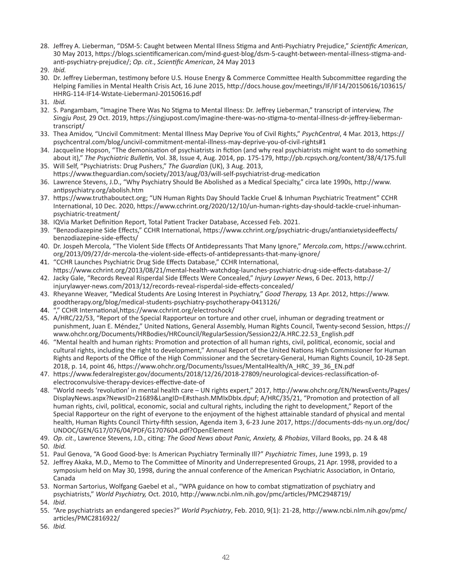- 28. Jeffrey A. Lieberman, "DSM-5: Caught between Mental Illness Stigma and Anti-Psychiatry Prejudice," *Scientific American*, 30 May 2013, https://blogs.scientificamerican.com/mind-guest-blog/dsm-5-caught-between-mental-illness-stigma-andanti-psychiatry-prejudice/; *Op. cit*., *Scientific American*, 24 May 2013
- 29. *Ibid.*
- 30. Dr. Jeffrey Lieberman, testimony before U.S. House Energy & Commerce Committee Health Subcommittee regarding the Helping Families in Mental Health Crisis Act, 16 June 2015, http://docs.house.gov/meetings/IF/IF14/20150616/103615/ HHRG-114-IF14-Wstate-LiebermanJ-20150616.pdf
- 31. *Ibid.*
- 32. S. Pangambam, "Imagine There Was No Stigma to Mental Illness: Dr. Jeffrey Lieberman," transcript of interview, *The Singju Post,* 29 Oct. 2019, https://singjupost.com/imagine-there-was-no-stigma-to-mental-illness-dr-jeffrey-liebermantranscript/
- 33. Thea Amidov, "Uncivil Commitment: Mental Illness May Deprive You of Civil Rights," *PsychCentral*, 4 Mar. 2013, https:// psychcentral.com/blog/uncivil-commitment-mental-illness-may-deprive-you-of-civil-rights#1
- 34. Jacqueline Hopson, "The demonisation of psychiatrists in fiction (and why real psychiatrists might want to do something about it)," *The Psychiatric Bulletin,* Vol. 38, Issue 4, Aug. 2014, pp. 175-179, http://pb.rcpsych.org/content/38/4/175.full
- 35. Will Self, "Psychiatrists: Drug Pushers," *The Guardian* (UK), 3 Aug. 2013, https://www.theguardian.com/society/2013/aug/03/will-self-psychiatrist-drug-medication
- 36. Lawrence Stevens, J.D., "Why Psychiatry Should Be Abolished as a Medical Specialty," circa late 1990s, http://www. antipsychiatry.org/abolish.htm
- 37. https://www.truthaboutect.org; "UN Human Rights Day Should Tackle Cruel & Inhuman Psychiatric Treatment" CCHR International, 10 Dec. 2020, https://www.cchrint.org/2020/12/10/un-human-rights-day-should-tackle-cruel-inhumanpsychiatric-treatment/
- 38. IQVia Market Definition Report, Total Patient Tracker Database, Accessed Feb. 2021.
- 39. "Benzodiazepine Side Effects," CCHR International, https://www.cchrint.org/psychiatric-drugs/antianxietysideeffects/ benzodiazepine-side-effects/
- 40. Dr. Jospeh Mercola, "The Violent Side Effects Of Antidepressants That Many Ignore," *Mercola.com*, https://www.cchrint. org/2013/09/27/dr-mercola-the-violent-side-effects-of-antidepressants-that-many-ignore/
- 41. "CCHR Launches Psychiatric Drug Side Effects Database," CCHR International, https://www.cchrint.org/2013/08/21/mental-health-watchdog-launches-psychiatric-drug-side-effects-database-2/
- 42. Jacky Gale, "Records Reveal Risperdal Side Effects Were Concealed," *Injury Lawyer News*, 6 Dec. 2013, http:// injurylawyer-news.com/2013/12/records-reveal-risperdal-side-effects-concealed/
- 43. Rheyanne Weaver, "Medical Students Are Losing Interest in Psychiatry," *Good Therapy,* 13 Apr. 2012, https://www. goodtherapy.org/blog/medical-students-psychiatry-psychotherapy-0413126/
- 44. "," CCHR International,https://www.cchrint.org/electroshock/
- 45. A/HRC/22/53, "Report of the Special Rapporteur on torture and other cruel, inhuman or degrading treatment or punishment, Juan E. Méndez," United Nations, General Assembly, Human Rights Council, Twenty-second Session, https:// www.ohchr.org/Documents/HRBodies/HRCouncil/RegularSession/Session22/A.HRC.22.53\_English.pdf
- 46. "Mental health and human rights: Promotion and protection of all human rights, civil, political, economic, social and cultural rights, including the right to development," Annual Report of the United Nations High Commissioner for Human Rights and Reports of the Office of the High Commissioner and the Secretary-General, Human Rights Council, 10-28 Sept. 2018, p. 14, point 46, https://www.ohchr.org/Documents/Issues/MentalHealth/A\_HRC\_39\_36\_EN.pdf
- 47. https://www.federalregister.gov/documents/2018/12/26/2018-27809/neurological-devices-reclassification-ofelectroconvulsive-therapy-devices-effective-date-of
- 48. "World needs 'revolution' in mental health care UN rights expert," 2017, http://www.ohchr.org/EN/NewsEvents/Pages/ DisplayNews.aspx?NewsID=21689&LangID=E#sthash.MMIxDbIx.dpuf; A/HRC/35/21, "Promotion and protection of all human rights, civil, political, economic, social and cultural rights, including the right to development," Report of the Special Rapporteur on the right of everyone to the enjoyment of the highest attainable standard of physical and mental health, Human Rights Council Thirty-fifth session, Agenda item 3, 6-23 June 2017, https://documents-dds-ny.un.org/doc/ UNDOC/GEN/G17/076/04/PDF/G1707604.pdf?OpenElement
- 49. *Op. cit*., Lawrence Stevens, J.D., citing: *The Good News about Panic, Anxiety, & Phobias*, Villard Books, pp. 24 & 48
- 50. *Ibid.*
- 51. Paul Genova, "A Good Good-bye: Is American Psychiatry Terminally Ill?" *Psychiatric Times*, June 1993, p. 19
- 52. Jeffrey Akaka, M.D., Memo to The Committee of Minority and Underrepresented Groups, 21 Apr. 1998, provided to a symposium held on May 30, 1998, during the annual conference of the American Psychiatric Association, in Ontario, Canada
- 53. Norman Sartorius, Wolfgang Gaebel et al., "WPA guidance on how to combat stigmatization of psychiatry and psychiatrists," *World Psychiatry,* Oct. 2010, http://www.ncbi.nlm.nih.gov/pmc/articles/PMC2948719/
- 54. *Ibid*.
- 55. "Are psychiatrists an endangered species?" *World Psychiatry*, Feb. 2010, 9(1): 21-28, http://www.ncbi.nlm.nih.gov/pmc/ articles/PMC2816922/
- 56. *Ibid.*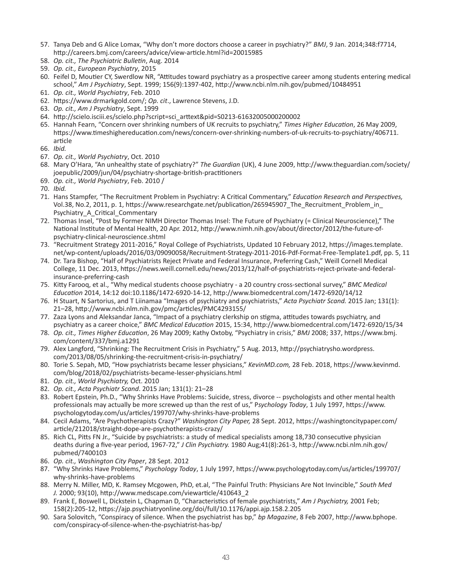- 57. Tanya Deb and G Alice Lomax, "Why don't more doctors choose a career in psychiatry?" *BMJ*, 9 Jan. 2014;348:f7714, http://careers.bmj.com/careers/advice/view-article.html?id=20015985
- 58. *Op. cit., The Psychiatric Bulletin*, Aug. 2014
- 59. *Op. cit., European Psychiatry*, 2015
- 60. Feifel D, Moutier CY, Swerdlow NR, "Attitudes toward psychiatry as a prospective career among students entering medical school," *Am J Psychiatry*, Sept. 1999; 156(9):1397-402, http://www.ncbi.nlm.nih.gov/pubmed/10484951
- 61. *Op. cit., World Psychiatry*, Feb. 2010
- 62. https://www.drmarkgold.com/; *Op. cit*., Lawrence Stevens, J.D.
- 63. *Op. cit., Am J Psychiatry*, Sept. 1999
- 64. http://scielo.isciii.es/scielo.php?script=sci\_arttext&pid=S0213-61632005000200002
- 65. Hannah Fearn, "Concern over shrinking numbers of UK recruits to psychiatry," *Times Higher Education*, 26 May 2009, https://www.timeshighereducation.com/news/concern-over-shrinking-numbers-of-uk-recruits-to-psychiatry/406711. article
- 66. *Ibid.*
- 67. *Op. cit., World Psychiatry*, Oct. 2010
- 68. Mary O'Hara, "An unhealthy state of psychiatry?" *The Guardian* (UK), 4 June 2009, http://www.theguardian.com/society/ joepublic/2009/jun/04/psychiatry-shortage-british-practitioners
- 69. *Op. cit., World Psychiatry*, Feb. 2010 /
- 70. *Ibid.*
- 71. Hans Stampfer, "The Recruitment Problem in Psychiatry: A Critical Commentary," *Education Research and Perspectives,* Vol.38, No.2, 2011, p. 1, https://www.researchgate.net/publication/265945907\_The\_Recruitment\_Problem\_in\_ Psychiatry\_A\_Critical\_Commentary
- 72. Thomas Insel, "Post by Former NIMH Director Thomas Insel: The Future of Psychiatry (= Clinical Neuroscience)," The National Institute of Mental Health, 20 Apr. 2012, http://www.nimh.nih.gov/about/director/2012/the-future-ofpsychiatry-clinical-neuroscience.shtml
- 73. "Recruitment Strategy 2011-2016," Royal College of Psychiatrists, Updated 10 February 2012, https://images.template. net/wp-content/uploads/2016/03/09090058/Recruitment-Strategy-2011-2016-Pdf-Format-Free-Template1.pdf, pp. 5, 11
- 74. Dr. Tara Bishop, "Half of Psychiatrists Reject Private and Federal Insurance, Preferring Cash," Weill Cornell Medical College, 11 Dec. 2013, https://news.weill.cornell.edu/news/2013/12/half-of-psychiatrists-reject-private-and-federalinsurance-preferring-cash
- 75. Kitty Farooq, et al., "Why medical students choose psychiatry a 20 country cross-sectional survey," *BMC Medical Education* 2014, 14:12 doi:10.1186/1472-6920-14-12, http://www.biomedcentral.com/1472-6920/14/12
- 76. H Stuart, N Sartorius, and T Liinamaa "Images of psychiatry and psychiatrists," *Acta Psychiatr Scand.* 2015 Jan; 131(1): 21–28, http://www.ncbi.nlm.nih.gov/pmc/articles/PMC4293155/
- 77. Zaza Lyons and Aleksandar Janca, "Impact of a psychiatry clerkship on stigma, attitudes towards psychiatry, and psychiatry as a career choice," *BMC Medical Education* 2015, 15:34, http://www.biomedcentral.com/1472-6920/15/34
- 78. *Op. cit., Times Higher Education*, 26 May 2009; Kathy Oxtoby, "Psychiatry in crisis," *BMJ* 2008; 337, https://www.bmj. com/content/337/bmj.a1291
- 79. Alex Langford, "Shrinking: The Recruitment Crisis in Psychiatry," 5 Aug. 2013, http://psychiatrysho.wordpress. com/2013/08/05/shrinking-the-recruitment-crisis-in-psychiatry/
- 80. Torie S. Sepah, MD, "How psychiatrists became lesser physicians," *KevinMD.com,* 28 Feb. 2018, https://www.kevinmd. com/blog/2018/02/psychiatrists-became-lesser-physicians.html
- 81. *Op. cit., World Psychiatry,* Oct. 2010
- 82. *Op. cit., Acta Psychiatr Scand*. 2015 Jan; 131(1): 21–28
- 83. Robert Epstein, Ph.D., "Why Shrinks Have Problems: Suicide, stress, divorce -- psychologists and other mental health professionals may actually be more screwed up than the rest of us," P*sychology Today*, 1 July 1997, https://www. psychologytoday.com/us/articles/199707/why-shrinks-have-problems
- 84. Cecil Adams, "Are Psychotherapists Crazy?" *Washington City Paper,* 28 Sept. 2012, https://washingtoncitypaper.com/ article/212018/straight-dope-are-psychotherapists-crazy/
- 85. Rich CL, Pitts FN Jr., "Suicide by psychiatrists: a study of medical specialists among 18,730 consecutive physician deaths during a five-year period, 1967-72," *J Clin Psychiatry.* 1980 Aug;41(8):261-3, http://www.ncbi.nlm.nih.gov/ pubmed/7400103
- 86. *Op. cit., Washington City Paper*, 28 Sept. 2012
- 87. "Why Shrinks Have Problems," *Psychology Today*, 1 July 1997, https://www.psychologytoday.com/us/articles/199707/ why-shrinks-have-problems
- 88. Merry N. Miller, MD, K. Ramsey Mcgowen, PhD, et.al, "The Painful Truth: Physicians Are Not Invincible," *South Med J.* 2000; 93(10), http://www.medscape.com/viewarticle/410643\_2
- 89. Frank E, Boswell L, Dickstein L, Chapman D, "Characteristics of female psychiatrists," *Am J Psychiatry,* 2001 Feb; 158(2):205-12, https://ajp.psychiatryonline.org/doi/full/10.1176/appi.ajp.158.2.205
- 90. Sara Solovitch, "Conspiracy of silence. When the psychiatrist has bp," *bp Magazine*, 8 Feb 2007, http://www.bphope. com/conspiracy-of-silence-when-the-psychiatrist-has-bp/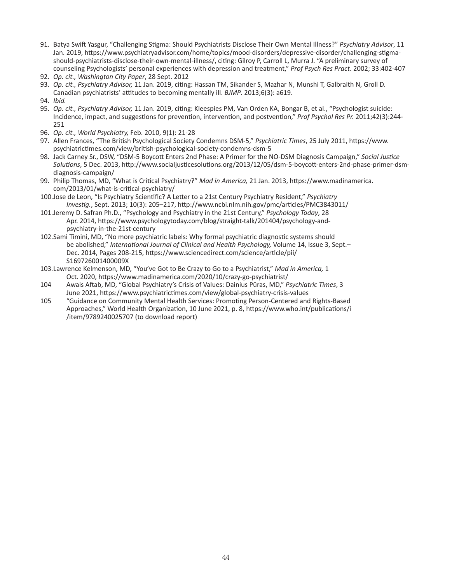- 91. Batya Swift Yasgur, "Challenging Stigma: Should Psychiatrists Disclose Their Own Mental Illness?" *Psychiatry Advisor*, 11 Jan. 2019, https://www.psychiatryadvisor.com/home/topics/mood-disorders/depressive-disorder/challenging-stigmashould-psychiatrists-disclose-their-own-mental-illness/, citing: Gilroy P, Carroll L, Murra J. "A preliminary survey of counseling Psychologists' personal experiences with depression and treatment," *Prof Psych Res Pract*. 2002; 33:402-407
- 92. *Op. cit., Washington City Paper*, 28 Sept. 2012
- 93. *Op. cit., Psychiatry Advisor,* 11 Jan. 2019, citing: Hassan TM, Sikander S, Mazhar N, Munshi T, Galbraith N, Groll D. Canadian psychiatrists' attitudes to becoming mentally ill. *BJMP*. 2013;6(3): a619.
- 94. *Ibid.*
- 95. *Op. cit., Psychiatry Advisor,* 11 Jan. 2019, citing: Kleespies PM, Van Orden KA, Bongar B, et al., "Psychologist suicide: Incidence, impact, and suggestions for prevention, intervention, and postvention," *Prof Psychol Res Pr.* 2011;42(3):244- 251
- 96. *Op. cit., World Psychiatry,* Feb. 2010, 9(1): 21-28
- 97. Allen Frances, "The British Psychological Society Condemns DSM-5," *Psychiatric Times*, 25 July 2011, https://www. psychiatrictimes.com/view/british-psychological-society-condemns-dsm-5
- 98. Jack Carney Sr., DSW, "DSM-5 Boycott Enters 2nd Phase: A Primer for the NO-DSM Diagnosis Campaign," *Social Justice Solutions*, 5 Dec. 2013, http://www.socialjusticesolutions.org/2013/12/05/dsm-5-boycott-enters-2nd-phase-primer-dsmdiagnosis-campaign/
- 99. Philip Thomas, MD, "What is Critical Psychiatry?" *Mad in America,* 21 Jan. 2013, https://www.madinamerica. com/2013/01/what-is-critical-psychiatry/
- 100.Jose de Leon, "Is Psychiatry Scientific? A Letter to a 21st Century Psychiatry Resident," *Psychiatry Investig.*, Sept. 2013; 10(3): 205–217, http://www.ncbi.nlm.nih.gov/pmc/articles/PMC3843011/
- 101.Jeremy D. Safran Ph.D., "Psychology and Psychiatry in the 21st Century," *Psychology Today*, 28 Apr. 2014, https://www.psychologytoday.com/blog/straight-talk/201404/psychology-andpsychiatry-in-the-21st-century
- 102.Sami Timini, MD, "No more psychiatric labels: Why formal psychiatric diagnostic systems should be abolished," *International Journal of Clinical and Health Psychology,* Volume 14, Issue 3, Sept.– Dec. 2014, Pages 208-215, https://www.sciencedirect.com/science/article/pii/ S169726001400009X
- 103.Lawrence Kelmenson, MD, "You've Got to Be Crazy to Go to a Psychiatrist," *Mad in America,* 1 Oct. 2020, https://www.madinamerica.com/2020/10/crazy-go-psychiatrist/
- 104 Awais Aftab, MD, "Global Psychiatry's Crisis of Values: Dainius Pūras, MD," *Psychiatric Times*, 3 June 2021, https://www.psychiatrictimes.com/view/global-psychiatry-crisis-values
- 105 "Guidance on Community Mental Health Services: Promoting Person-Centered and Rights-Based Approaches," World Health Organization, 10 June 2021, p. 8, https://www.who.int/publications/i /item/9789240025707 (to download report)